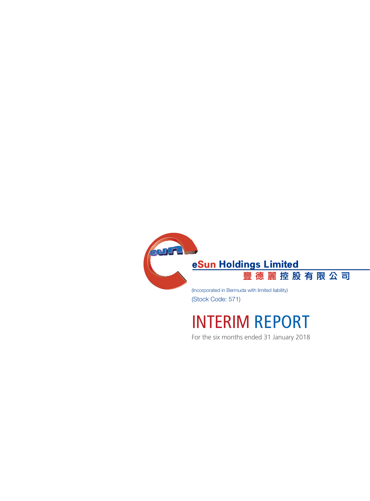

(Stock Code: 571)

# INTERIM REPORT

For the six months ended 31 January 2018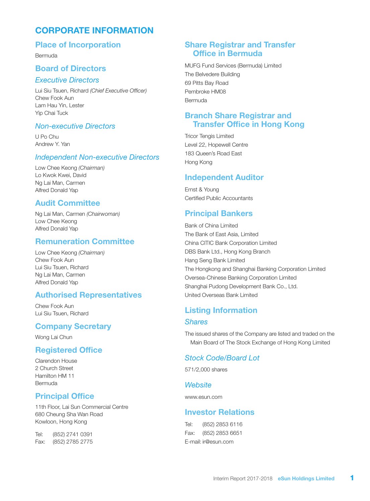# CORPORATE INFORMATION

### Place of Incorporation

Bermuda

### Board of Directors

#### *Executive Directors*

Lui Siu Tsuen, Richard *(Chief Executive Officer)* Chew Fook Aun Lam Hau Yin, Lester Yip Chai Tuck

#### *Non-executive Directors*

U Po Chu Andrew Y. Yan

#### *Independent Non-executive Directors*

Low Chee Keong *(Chairman)* Lo Kwok Kwei, David Ng Lai Man, Carmen Alfred Donald Yap

### Audit Committee

Ng Lai Man, Carmen *(Chairwoman)* Low Chee Keong Alfred Donald Yap

### Remuneration Committee

Low Chee Keong *(Chairman)* Chew Fook Aun Lui Siu Tsuen, Richard Ng Lai Man, Carmen Alfred Donald Yap

#### Authorised Representatives

Chew Fook Aun Lui Siu Tsuen, Richard

#### Company Secretary

Wong Lai Chun

#### Registered Office

Clarendon House 2 Church Street Hamilton HM 11 Bermuda

### Principal Office

11th Floor, Lai Sun Commercial Centre 680 Cheung Sha Wan Road Kowloon, Hong Kong

Tel: (852) 2741 0391 Fax: (852) 2785 2775

### Share Registrar and Transfer Office in Bermuda

MUFG Fund Services (Bermuda) Limited The Belvedere Building 69 Pitts Bay Road Pembroke HM08 Bermuda

### Branch Share Registrar and Transfer Office in Hong Kong

Tricor Tengis Limited Level 22, Hopewell Centre 183 Queen's Road East Hong Kong

### Independent Auditor

Ernst & Young Certified Public Accountants

### Principal Bankers

Bank of China Limited The Bank of East Asia, Limited China CITIC Bank Corporation Limited DBS Bank Ltd., Hong Kong Branch Hang Seng Bank Limited The Hongkong and Shanghai Banking Corporation Limited Oversea-Chinese Banking Corporation Limited Shanghai Pudong Development Bank Co., Ltd. United Overseas Bank Limited

# Listing Information

### *Shares*

The issued shares of the Company are listed and traded on the Main Board of The Stock Exchange of Hong Kong Limited

#### *Stock Code/Board Lot*

571/2,000 shares

#### *Website*

www.esun.com

### Investor Relations

Tel: (852) 2853 6116 Fax: (852) 2853 6651 E-mail: ir@esun.com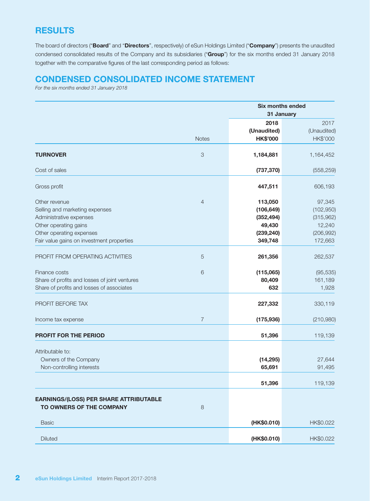# **RESULTS**

The board of directors ("Board" and "Directors", respectively) of eSun Holdings Limited ("Company") presents the unaudited condensed consolidated results of the Company and its subsidiaries ("Group") for the six months ended 31 January 2018 together with the comparative figures of the last corresponding period as follows:

### CONDENSED CONSOLIDATED INCOME STATEMENT

*For the six months ended 31 January 2018*

|                                                                                                                                                                              |                           |                                                                        | <b>Six months ended</b><br>31 January                                |
|------------------------------------------------------------------------------------------------------------------------------------------------------------------------------|---------------------------|------------------------------------------------------------------------|----------------------------------------------------------------------|
|                                                                                                                                                                              | <b>Notes</b>              | 2018<br>(Unaudited)<br><b>HK\$'000</b>                                 | 2017<br>(Unaudited)<br>HK\$'000                                      |
| <b>TURNOVER</b>                                                                                                                                                              | $\ensuremath{\mathsf{3}}$ | 1,184,881                                                              | 1,164,452                                                            |
| Cost of sales                                                                                                                                                                |                           | (737, 370)                                                             | (558, 259)                                                           |
| Gross profit                                                                                                                                                                 |                           | 447,511                                                                | 606,193                                                              |
| Other revenue<br>Selling and marketing expenses<br>Administrative expenses<br>Other operating gains<br>Other operating expenses<br>Fair value gains on investment properties | $\overline{4}$            | 113,050<br>(106, 649)<br>(352, 494)<br>49,430<br>(239, 240)<br>349,748 | 97,345<br>(102, 950)<br>(315,962)<br>12,240<br>(206, 992)<br>172,663 |
| PROFIT FROM OPERATING ACTIVITIES                                                                                                                                             | $\sqrt{5}$                | 261,356                                                                | 262,537                                                              |
| Finance costs<br>Share of profits and losses of joint ventures<br>Share of profits and losses of associates                                                                  | 6                         | (115,065)<br>80,409<br>632                                             | (95, 535)<br>161,189<br>1,928                                        |
| PROFIT BEFORE TAX                                                                                                                                                            |                           | 227,332                                                                | 330,119                                                              |
| Income tax expense                                                                                                                                                           | $\overline{7}$            | (175, 936)                                                             | (210,980)                                                            |
| <b>PROFIT FOR THE PERIOD</b>                                                                                                                                                 |                           | 51,396                                                                 | 119,139                                                              |
| Attributable to:<br>Owners of the Company<br>Non-controlling interests                                                                                                       |                           | (14, 295)<br>65,691                                                    | 27,644<br>91,495                                                     |
|                                                                                                                                                                              |                           | 51,396                                                                 | 119,139                                                              |
| <b>EARNINGS/(LOSS) PER SHARE ATTRIBUTABLE</b><br>TO OWNERS OF THE COMPANY                                                                                                    | $\,8\,$                   |                                                                        |                                                                      |
| <b>Basic</b>                                                                                                                                                                 |                           | (HK\$0.010)                                                            | HK\$0.022                                                            |
| <b>Diluted</b>                                                                                                                                                               |                           | (HK\$0.010)                                                            | HK\$0.022                                                            |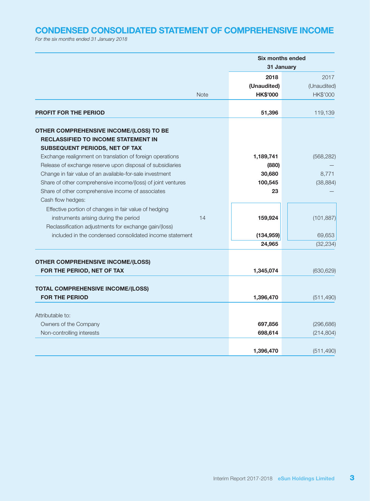# CONDENSED CONSOLIDATED STATEMENT OF COMPREHENSIVE INCOME

*For the six months ended 31 January 2018*

|                                                              |             |                 | <b>Six months ended</b> |
|--------------------------------------------------------------|-------------|-----------------|-------------------------|
|                                                              |             |                 | 31 January              |
|                                                              |             | 2018            | 2017                    |
|                                                              |             | (Unaudited)     | (Unaudited)             |
|                                                              | <b>Note</b> | <b>HK\$'000</b> | HK\$'000                |
| <b>PROFIT FOR THE PERIOD</b>                                 |             | 51,396          | 119,139                 |
| OTHER COMPREHENSIVE INCOME/(LOSS) TO BE                      |             |                 |                         |
| <b>RECLASSIFIED TO INCOME STATEMENT IN</b>                   |             |                 |                         |
| SUBSEQUENT PERIODS, NET OF TAX                               |             |                 |                         |
| Exchange realignment on translation of foreign operations    |             | 1,189,741       | (568, 282)              |
| Release of exchange reserve upon disposal of subsidiaries    |             | (880)           |                         |
| Change in fair value of an available-for-sale investment     |             | 30,680          | 8,771                   |
| Share of other comprehensive income/(loss) of joint ventures |             | 100,545         | (38, 884)               |
| Share of other comprehensive income of associates            |             | 23              |                         |
| Cash flow hedges:                                            |             |                 |                         |
| Effective portion of changes in fair value of hedging        |             |                 |                         |
| instruments arising during the period                        | 14          | 159,924         | (101, 887)              |
| Reclassification adjustments for exchange gain/(loss)        |             |                 |                         |
| included in the condensed consolidated income statement      |             | (134, 959)      | 69,653                  |
|                                                              |             | 24,965          | (32, 234)               |
| <b>OTHER COMPREHENSIVE INCOME/(LOSS)</b>                     |             |                 |                         |
| FOR THE PERIOD, NET OF TAX                                   |             | 1,345,074       | (630, 629)              |
|                                                              |             |                 |                         |
| <b>TOTAL COMPREHENSIVE INCOME/(LOSS)</b>                     |             |                 |                         |
| <b>FOR THE PERIOD</b>                                        |             | 1,396,470       | (511, 490)              |
|                                                              |             |                 |                         |
| Attributable to:                                             |             |                 |                         |
| Owners of the Company                                        |             | 697,856         | (296, 686)              |
| Non-controlling interests                                    |             | 698,614         | (214, 804)              |
|                                                              |             |                 |                         |
|                                                              |             | 1,396,470       | (511, 490)              |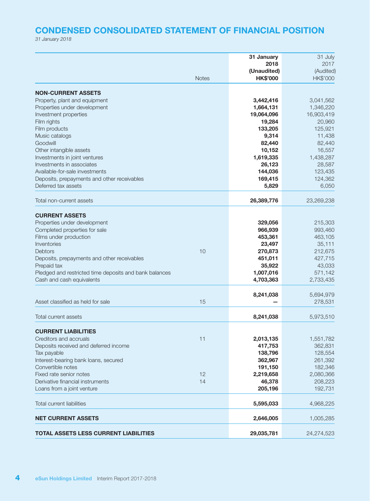# CONDENSED CONSOLIDATED STATEMENT OF FINANCIAL POSITION

*31 January 2018*

|                                                        |              | 31 January<br>2018             | 31 July<br>2017       |
|--------------------------------------------------------|--------------|--------------------------------|-----------------------|
|                                                        | <b>Notes</b> | (Unaudited)<br><b>HK\$'000</b> | (Audited)<br>HK\$'000 |
| <b>NON-CURRENT ASSETS</b>                              |              |                                |                       |
| Property, plant and equipment                          |              | 3,442,416                      | 3,041,562             |
| Properties under development                           |              | 1,664,131                      | 1,346,220             |
| Investment properties                                  |              | 19,064,096                     | 16,903,419            |
| Film rights                                            |              | 19,284                         | 20,960                |
| Film products                                          |              | 133,205                        | 125,921               |
| Music catalogs                                         |              | 9,314                          | 11,438                |
| Goodwill                                               |              | 82,440                         | 82,440                |
| Other intangible assets                                |              | 10,152                         | 16,557                |
| Investments in joint ventures                          |              | 1,619,335                      | 1,438,287             |
| Investments in associates                              |              | 26,123                         | 28,587                |
| Available-for-sale investments                         |              | 144,036                        | 123,435               |
| Deposits, prepayments and other receivables            |              | 169,415                        | 124,362               |
| Deferred tax assets                                    |              | 5,829                          | 6,050                 |
| Total non-current assets                               |              |                                |                       |
|                                                        |              | 26,389,776                     | 23,269,238            |
| <b>CURRENT ASSETS</b>                                  |              |                                |                       |
| Properties under development                           |              | 329,056                        | 215,303               |
| Completed properties for sale                          |              | 966,939                        | 993,460               |
| Films under production                                 |              | 453,361                        | 463,105               |
| Inventories                                            |              | 23,497                         | 35,111                |
| Debtors                                                | 10           | 270,873                        | 212,675               |
| Deposits, prepayments and other receivables            |              | 451,011                        | 427,715               |
| Prepaid tax                                            |              | 35,922                         | 43,033                |
| Pledged and restricted time deposits and bank balances |              | 1,007,016                      | 571,142               |
| Cash and cash equivalents                              |              | 4,703,363                      | 2,733,435             |
|                                                        |              |                                |                       |
| Asset classified as held for sale                      | 15           | 8,241,038                      | 5,694,979<br>278,531  |
|                                                        |              |                                |                       |
| Total current assets                                   |              | 8,241,038                      | 5,973,510             |
| <b>CURRENT LIABILITIES</b>                             |              |                                |                       |
| Creditors and accruals                                 | 11           | 2,013,135                      | 1,551,782             |
| Deposits received and deferred income                  |              | 417,753                        | 362,831               |
| Tax payable                                            |              | 138,796                        | 128,554               |
| Interest-bearing bank loans, secured                   |              | 362,967                        | 261,392               |
| Convertible notes                                      |              | 191,150                        | 182,346               |
| Fixed rate senior notes                                | 12           | 2,219,658                      | 2,080,366             |
| Derivative financial instruments                       | 14           | 46,378                         | 208,223               |
| Loans from a joint venture                             |              | 205,196                        | 192,731               |
| <b>Total current liabilities</b>                       |              | 5,595,033                      | 4,968,225             |
|                                                        |              |                                |                       |
| <b>NET CURRENT ASSETS</b>                              |              | 2,646,005                      | 1,005,285             |
| <b>TOTAL ASSETS LESS CURRENT LIABILITIES</b>           |              | 29,035,781                     | 24,274,523            |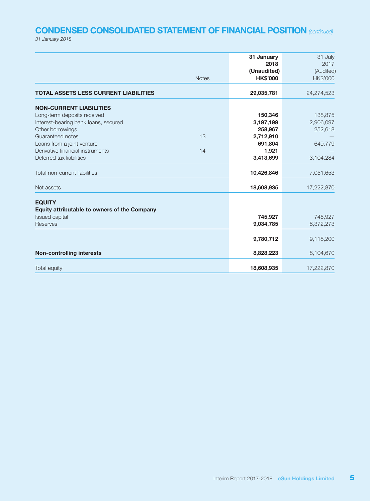# CONDENSED CONSOLIDATED STATEMENT OF FINANCIAL POSITION *(continued)*

*31 January 2018*

|                                                                      | 31 January<br>2018             | 31 July<br>2017       |
|----------------------------------------------------------------------|--------------------------------|-----------------------|
| <b>Notes</b>                                                         | (Unaudited)<br><b>HK\$'000</b> | (Audited)<br>HK\$'000 |
| <b>TOTAL ASSETS LESS CURRENT LIABILITIES</b>                         | 29,035,781                     | 24,274,523            |
| <b>NON-CURRENT LIABILITIES</b>                                       |                                |                       |
| Long-term deposits received                                          | 150,346                        | 138,875               |
| Interest-bearing bank loans, secured                                 | 3,197,199                      | 2,906,097             |
| Other borrowings                                                     | 258,967                        | 252,618               |
| Guaranteed notes<br>13                                               | 2,712,910                      |                       |
| Loans from a joint venture<br>Derivative financial instruments<br>14 | 691,804<br>1,921               | 649,779               |
| Deferred tax liabilities                                             | 3,413,699                      | 3,104,284             |
|                                                                      |                                |                       |
| Total non-current liabilities                                        | 10,426,846                     | 7,051,653             |
| Net assets                                                           | 18,608,935                     | 17,222,870            |
| <b>EQUITY</b>                                                        |                                |                       |
| Equity attributable to owners of the Company                         |                                |                       |
| Issued capital                                                       | 745,927                        | 745,927               |
| Reserves                                                             | 9,034,785                      | 8,372,273             |
|                                                                      | 9,780,712                      | 9,118,200             |
| <b>Non-controlling interests</b>                                     | 8,828,223                      | 8,104,670             |
| Total equity                                                         | 18,608,935                     | 17,222,870            |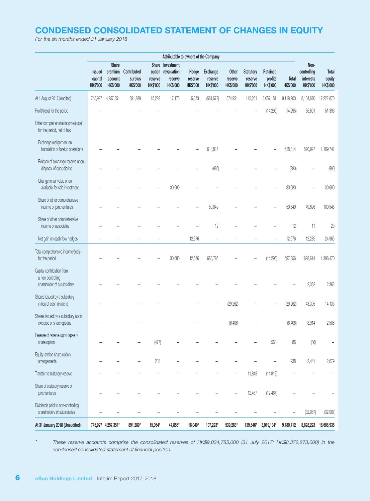# CONDENSED CONSOLIDATED STATEMENT OF CHANGES IN EQUITY

*For the six months ended 31 January 2018*

|                                                                               |                                             |                                                |                                           |                                      | Attributable to owners of the Company                         |                                     |                                               |                                     |                                                |                                        |                          |                                                     |                                    |
|-------------------------------------------------------------------------------|---------------------------------------------|------------------------------------------------|-------------------------------------------|--------------------------------------|---------------------------------------------------------------|-------------------------------------|-----------------------------------------------|-------------------------------------|------------------------------------------------|----------------------------------------|--------------------------|-----------------------------------------------------|------------------------------------|
|                                                                               | <b>Issued</b><br>capital<br><b>HK\$'000</b> | Share<br>premium<br>account<br><b>HK\$'000</b> | Contributed<br>surplus<br><b>HK\$'000</b> | option<br>reserve<br><b>HK\$'000</b> | Share Investment<br>revaluation<br>reserve<br><b>HK\$'000</b> | Hedge<br>reserve<br><b>HK\$'000</b> | <b>Exchange</b><br>reserve<br><b>HK\$'000</b> | Other<br>reserve<br><b>HK\$'000</b> | <b>Statutory</b><br>reserve<br><b>HK\$'000</b> | Retained<br>profits<br><b>HK\$'000</b> | Total<br><b>HK\$'000</b> | Non-<br>controlling<br>interests<br><b>HK\$'000</b> | Total<br>equity<br><b>HK\$'000</b> |
| At 1 August 2017 (Audited)                                                    | 745,927                                     | 4,257,351                                      | 891,289                                   | 15,293                               | 17,176                                                        | 5,373                               | (561, 572)                                    | 574,951                             | 115,261                                        | 3,057,151                              | 9,118,200                | 8,104,670                                           | 17,222,870                         |
| Profit/(loss) for the period                                                  |                                             |                                                |                                           |                                      |                                                               |                                     |                                               |                                     |                                                | (14, 295)                              | (14, 295)                | 65,691                                              | 51,396                             |
| Other comprehensive income/(loss)<br>for the period, net of tax:              |                                             |                                                |                                           |                                      |                                                               |                                     |                                               |                                     |                                                |                                        |                          |                                                     |                                    |
| Exchange realignment on<br>translation of foreign operations                  |                                             |                                                |                                           |                                      |                                                               |                                     | 618,814                                       |                                     |                                                |                                        | 618,814                  | 570,927                                             | 1,189,741                          |
| Release of exchange reserve upon<br>disposal of subsidiaries                  |                                             |                                                |                                           |                                      |                                                               |                                     | (880)                                         |                                     |                                                |                                        | (880)                    |                                                     | (880)                              |
| Change in fair value of an<br>available-for-sale investment                   |                                             |                                                |                                           |                                      | 30,680                                                        |                                     |                                               |                                     |                                                |                                        | 30,680                   |                                                     | 30,680                             |
| Share of other comprehensive<br>income of joint ventures                      |                                             |                                                |                                           |                                      |                                                               |                                     | 50,849                                        |                                     |                                                |                                        | 50,849                   | 49,696                                              | 100,545                            |
| Share of other comprehensive<br>income of associates                          |                                             |                                                |                                           |                                      |                                                               |                                     | 12                                            |                                     |                                                |                                        | 12                       | 11                                                  | 23                                 |
| Net gain on cash flow hedges                                                  |                                             |                                                |                                           |                                      |                                                               | 12,676                              |                                               |                                     |                                                |                                        | 12,676                   | 12,289                                              | 24,965                             |
| Total comprehensive income/(loss)<br>for the period                           |                                             |                                                |                                           |                                      | 30,680                                                        | 12,676                              | 668,795                                       |                                     |                                                | (14, 295)                              | 697,856                  | 698,614                                             | 1,396,470                          |
| Capital contribution from<br>a non-controlling<br>shareholder of a subsidiary |                                             |                                                |                                           |                                      |                                                               |                                     |                                               |                                     |                                                |                                        |                          | 2,362                                               | 2,362                              |
| Shares issued by a subsidiary<br>in lieu of cash dividend                     |                                             |                                                |                                           |                                      |                                                               |                                     |                                               | (29, 262)                           |                                                |                                        | (29, 262)                | 43,395                                              | 14,133                             |
| Shares issued by a subsidiary upon<br>exercise of share options               |                                             |                                                |                                           |                                      |                                                               |                                     |                                               | (6, 406)                            |                                                |                                        | (6, 406)                 | 8,914                                               | 2,508                              |
| Release of reserve upon lapse of<br>share option                              |                                             |                                                |                                           | (477)                                |                                                               |                                     |                                               |                                     |                                                | 563                                    | 86                       | (86)                                                |                                    |
| Equity-settled share option<br>arrangements                                   |                                             |                                                |                                           | 238                                  |                                                               |                                     |                                               |                                     |                                                |                                        | 238                      | 2,441                                               | 2,679                              |
| Transfer to statutory reserve                                                 |                                             |                                                |                                           |                                      |                                                               |                                     |                                               |                                     | 11,818                                         | (11, 818)                              |                          |                                                     |                                    |
| Share of statutory reserve of<br>joint ventures                               |                                             |                                                |                                           |                                      |                                                               |                                     |                                               |                                     | 12,467                                         | (12, 467)                              |                          |                                                     |                                    |
| Dividends paid to non-controlling<br>shareholders of subsidiaries             |                                             |                                                |                                           |                                      |                                                               |                                     |                                               |                                     |                                                |                                        | $\overline{\phantom{0}}$ | (32,087)                                            | (32,087)                           |
| At 31 January 2018 (Unaudited)                                                |                                             | 745,927 4,257,351*                             | 891,289*                                  | 15,054*                              | 47,856*                                                       | 18,049*                             | 107,223*                                      | 539,283*                            | 139,546*                                       | 3,019,134*                             | 9,780,712                | 8,828,223                                           | 18,608,935                         |

\* *These reserve accounts comprise the consolidated reserves of HK\$9,034,785,000 (31 July 2017: HK\$8,372,273,000) in the condensed consolidated statement of financial position.*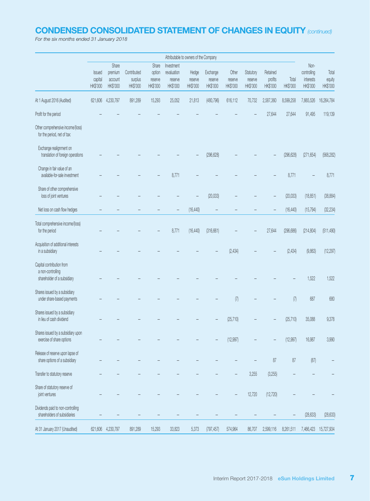# CONDENSED CONSOLIDATED STATEMENT OF CHANGES IN EQUITY *(continued)*

*For the six months ended 31 January 2018*

|                                                                               |                               |                                         |                                    |                                        |                                                  | Attributable to owners of the Company |                                 |                              |                                  |                                 |                   |                                              |                             |
|-------------------------------------------------------------------------------|-------------------------------|-----------------------------------------|------------------------------------|----------------------------------------|--------------------------------------------------|---------------------------------------|---------------------------------|------------------------------|----------------------------------|---------------------------------|-------------------|----------------------------------------------|-----------------------------|
|                                                                               | Issued<br>capital<br>HK\$'000 | Share<br>premium<br>account<br>HK\$'000 | Contributed<br>surplus<br>HK\$'000 | Share<br>option<br>reserve<br>HK\$'000 | Investment<br>revaluation<br>reserve<br>HK\$'000 | Hedge<br>reserve<br>HK\$'000          | Exchange<br>reserve<br>HK\$'000 | Other<br>reserve<br>HK\$'000 | Statutory<br>reserve<br>HK\$'000 | Retained<br>profits<br>HK\$'000 | Total<br>HK\$'000 | Non-<br>controlling<br>interests<br>HK\$'000 | Total<br>equity<br>HK\$'000 |
| At 1 August 2016 (Audited)                                                    | 621,606                       | 4,230,797                               | 891,289                            | 15,293                                 | 25,052                                           | 21,813                                | (480, 796)                      | 616,112                      | 70,732                           | 2,587,360                       | 8,599,258         | 7,665,526                                    | 16,264,784                  |
| Profit for the period                                                         |                               |                                         |                                    |                                        |                                                  |                                       |                                 |                              |                                  | 27,644                          | 27,644            | 91,495                                       | 119,139                     |
| Other comprehensive income/(loss)<br>for the period, net of tax:              |                               |                                         |                                    |                                        |                                                  |                                       |                                 |                              |                                  |                                 |                   |                                              |                             |
| Exchange realignment on<br>translation of foreign operations                  |                               |                                         |                                    |                                        |                                                  |                                       | (296, 628)                      |                              |                                  |                                 | (296, 628)        | (271, 654)                                   | (568, 282)                  |
| Change in fair value of an<br>available-for-sale investment                   |                               |                                         |                                    |                                        | 8,771                                            |                                       |                                 |                              |                                  |                                 | 8,771             |                                              | 8,771                       |
| Share of other comprehensive<br>loss of joint ventures                        |                               |                                         |                                    |                                        |                                                  |                                       | (20, 033)                       |                              |                                  |                                 | (20, 033)         | (18, 851)                                    | (38, 884)                   |
| Net loss on cash flow hedges                                                  |                               |                                         |                                    |                                        |                                                  | (16, 440)                             |                                 |                              |                                  |                                 | (16, 440)         | (15, 794)                                    | (32, 234)                   |
| Total comprehensive income/(loss)<br>for the period                           |                               |                                         |                                    |                                        | 8,771                                            | (16, 440)                             | (316, 661)                      |                              |                                  | 27,644                          | (296, 686)        | (214, 804)                                   | (511, 490)                  |
| Acquisition of additional interests<br>in a subsidiary                        |                               |                                         |                                    |                                        |                                                  |                                       |                                 | (2, 434)                     |                                  |                                 | (2, 434)          | (9,863)                                      | (12, 297)                   |
| Capital contribution from<br>a non-controlling<br>shareholder of a subsidiary |                               |                                         |                                    |                                        |                                                  |                                       |                                 |                              |                                  |                                 |                   | 1,522                                        | 1,522                       |
| Shares issued by a subsidiary<br>under share-based payments                   |                               |                                         |                                    |                                        |                                                  |                                       |                                 | (7)                          |                                  |                                 | (7)               | 687                                          | 680                         |
| Shares issued by a subsidiary<br>in lieu of cash dividend                     |                               |                                         |                                    |                                        |                                                  |                                       |                                 | (25, 710)                    |                                  |                                 | (25, 710)         | 35,088                                       | 9,378                       |
| Shares issued by a subsidiary upon<br>exercise of share options               |                               |                                         |                                    |                                        |                                                  |                                       |                                 | (12, 997)                    |                                  |                                 | (12, 997)         | 16,987                                       | 3,990                       |
| Release of reserve upon lapse of<br>share options of a subsidiary             |                               |                                         |                                    |                                        |                                                  |                                       |                                 |                              |                                  | 87                              | $87\,$            | (87)                                         |                             |
| Transfer to statutory reserve                                                 |                               |                                         |                                    |                                        |                                                  |                                       |                                 |                              | 3,255                            | (3, 255)                        |                   |                                              |                             |
| Share of statutory reserve of<br>joint ventures                               |                               |                                         |                                    |                                        |                                                  |                                       |                                 |                              | 12,720                           | (12, 720)                       |                   |                                              |                             |
| Dividends paid to non-controlling<br>shareholders of subsidiaries             |                               |                                         |                                    |                                        |                                                  |                                       |                                 |                              |                                  |                                 |                   | (28, 633)                                    | (28, 633)                   |
| At 31 January 2017 (Unaudited)                                                | 621,606                       | 4,230,797                               | 891,289                            | 15,293                                 | 33,823                                           | 5,373                                 | (797, 457)                      | 574,964                      | 86,707                           | 2,599,116                       | 8,261,511         | 7,466,423                                    | 15,727,934                  |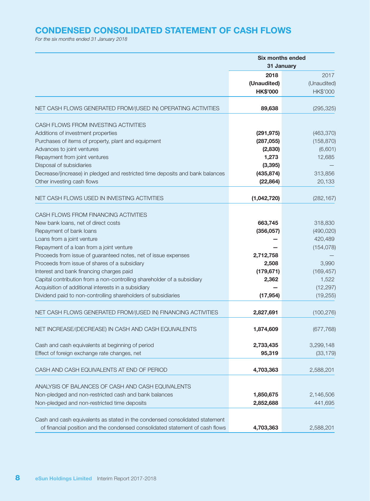# CONDENSED CONSOLIDATED STATEMENT OF CASH FLOWS

*For the six months ended 31 January 2018*

|                                                                                                                      |                                        | <b>Six months ended</b><br>31 January |
|----------------------------------------------------------------------------------------------------------------------|----------------------------------------|---------------------------------------|
|                                                                                                                      | 2018<br>(Unaudited)<br><b>HK\$'000</b> | 2017<br>(Unaudited)<br>HK\$'000       |
| NET CASH FLOWS GENERATED FROM/(USED IN) OPERATING ACTIVITIES                                                         | 89,638                                 | (295, 325)                            |
| CASH FLOWS FROM INVESTING ACTIVITIES                                                                                 |                                        |                                       |
| Additions of investment properties                                                                                   | (291, 975)                             | (463, 370)                            |
| Purchases of items of property, plant and equipment                                                                  | (287, 055)                             | (158, 870)                            |
| Advances to joint ventures                                                                                           | (2,830)                                | (6,601)                               |
| Repayment from joint ventures                                                                                        | 1,273                                  | 12,685                                |
| Disposal of subsidiaries                                                                                             | (3, 395)                               |                                       |
| Decrease/(increase) in pledged and restricted time deposits and bank balances                                        | (435, 874)                             | 313,856                               |
| Other investing cash flows                                                                                           | (22, 864)                              | 20,133                                |
| NET CASH FLOWS USED IN INVESTING ACTIVITIES                                                                          | (1,042,720)                            | (282, 167)                            |
|                                                                                                                      |                                        |                                       |
| CASH FLOWS FROM FINANCING ACTIVITIES                                                                                 |                                        |                                       |
| New bank loans, net of direct costs                                                                                  | 663,745                                | 318,830                               |
| Repayment of bank loans                                                                                              | (356, 057)                             | (490, 020)                            |
| Loans from a joint venture                                                                                           |                                        | 420,489                               |
| Repayment of a loan from a joint venture                                                                             |                                        | (154, 078)                            |
| Proceeds from issue of guaranteed notes, net of issue expenses                                                       | 2,712,758                              |                                       |
| Proceeds from issue of shares of a subsidiary                                                                        | 2,508                                  | 3,990                                 |
| Interest and bank financing charges paid                                                                             | (179, 671)                             | (169, 457)                            |
| Capital contribution from a non-controlling shareholder of a subsidiary                                              | 2,362                                  | 1,522                                 |
| Acquisition of additional interests in a subsidiary<br>Dividend paid to non-controlling shareholders of subsidiaries | (17, 954)                              | (12, 297)<br>(19, 255)                |
|                                                                                                                      |                                        |                                       |
| NET CASH FLOWS GENERATED FROM/(USED IN) FINANCING ACTIVITIES                                                         | 2,827,691                              | (100, 276)                            |
| NET INCREASE/(DECREASE) IN CASH AND CASH EQUIVALENTS                                                                 | 1,874,609                              | (677, 768)                            |
| Cash and cash equivalents at beginning of period                                                                     | 2,733,435                              | 3,299,148                             |
| Effect of foreign exchange rate changes, net                                                                         | 95,319                                 | (33, 179)                             |
| CASH AND CASH EQUIVALENTS AT END OF PERIOD                                                                           | 4,703,363                              | 2,588,201                             |
|                                                                                                                      |                                        |                                       |
| ANALYSIS OF BALANCES OF CASH AND CASH EQUIVALENTS                                                                    |                                        |                                       |
| Non-pledged and non-restricted cash and bank balances                                                                | 1,850,675                              | 2,146,506<br>441,695                  |
| Non-pledged and non-restricted time deposits                                                                         | 2,852,688                              |                                       |
| Cash and cash equivalents as stated in the condensed consolidated statement                                          |                                        |                                       |
| of financial position and the condensed consolidated statement of cash flows                                         | 4,703,363                              | 2,588,201                             |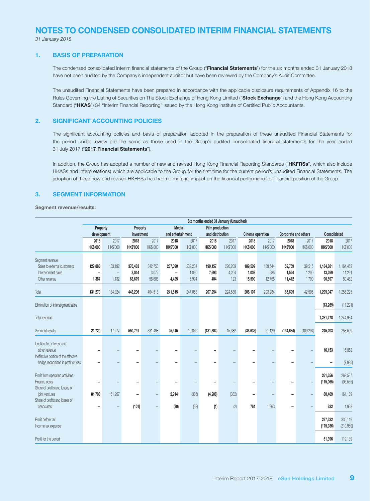# NOTES TO CONDENSED CONSOLIDATED INTERIM FINANCIAL STATEMENTS

*31 January 2018*

#### 1. BASIS OF PREPARATION

The condensed consolidated interim financial statements of the Group ("Financial Statements") for the six months ended 31 January 2018 have not been audited by the Company's independent auditor but have been reviewed by the Company's Audit Committee.

The unaudited Financial Statements have been prepared in accordance with the applicable disclosure requirements of Appendix 16 to the Rules Governing the Listing of Securities on The Stock Exchange of Hong Kong Limited ("Stock Exchange") and the Hong Kong Accounting Standard ("HKAS") 34 "Interim Financial Reporting" issued by the Hong Kong Institute of Certified Public Accountants.

#### 2. SIGNIFICANT ACCOUNTING POLICIES

The significant accounting policies and basis of preparation adopted in the preparation of these unaudited Financial Statements for the period under review are the same as those used in the Group's audited consolidated financial statements for the year ended 31 July 2017 ("2017 Financial Statements").

In addition, the Group has adopted a number of new and revised Hong Kong Financial Reporting Standards ("HKFRSs", which also include HKASs and Interpretations) which are applicable to the Group for the first time for the current period's unaudited Financial Statements. The adoption of these new and revised HKFRSs has had no material impact on the financial performance or financial position of the Group.

#### 3. SEGMENT INFORMATION

Segment revenue/results:

|                                                                                                                         | Six months ended 31 January (Unaudited)          |                                       |                            |                            |                         |                           |                         |                         |                            |                          |                           |                          |                               |                               |
|-------------------------------------------------------------------------------------------------------------------------|--------------------------------------------------|---------------------------------------|----------------------------|----------------------------|-------------------------|---------------------------|-------------------------|-------------------------|----------------------------|--------------------------|---------------------------|--------------------------|-------------------------------|-------------------------------|
|                                                                                                                         | Property                                         |                                       | Property                   |                            | Media                   |                           | Film production         |                         |                            |                          |                           |                          |                               |                               |
|                                                                                                                         | development                                      |                                       | investment                 |                            | and entertainment       |                           | and distribution        |                         | Cinema operation           |                          | Corporate and others      |                          | Consolidated                  |                               |
|                                                                                                                         | 2018<br><b>HK\$'000</b>                          | 2017<br>HK\$'000                      | 2018<br><b>HK\$'000</b>    | 2017<br>HK\$'000           | 2018<br><b>HK\$'000</b> | 2017<br>HK\$'000          | 2018<br><b>HK\$'000</b> | 2017<br>HK\$'000        | 2018<br><b>HK\$'000</b>    | 2017<br>HK\$'000         | 2018<br><b>HK\$'000</b>   | 2017<br>HK\$'000         | 2018<br><b>HK\$'000</b>       | 2017<br>HK\$'000              |
| Segment revenue:<br>Sales to external customers<br>Intersegment sales<br>Other revenue                                  | 129,883<br>$\qquad \qquad \blacksquare$<br>1,387 | 133,192<br>$\qquad \qquad -$<br>1,132 | 376,483<br>3,044<br>63,679 | 342,758<br>3,072<br>58,688 | 237,090<br>-<br>4,425   | 239,234<br>1,830<br>5,994 | 199,157<br>7,693<br>404 | 220,209<br>4,204<br>123 | 189,509<br>1,008<br>15,590 | 189,544<br>985<br>12,755 | 52,759<br>1,524<br>11,412 | 39,515<br>1,200<br>1,790 | 1,184,881<br>13,269<br>96,897 | 1,164,452<br>11,291<br>80,482 |
| Total                                                                                                                   | 131,270                                          | 134,324                               | 443,206                    | 404,518                    | 241,515                 | 247,058                   | 207,254                 | 224,536                 | 206,107                    | 203,284                  | 65,695                    | 42,505                   | 1,295,047                     | 1,256,225                     |
| Elimination of intersegment sales                                                                                       |                                                  |                                       |                            |                            |                         |                           |                         |                         |                            |                          |                           |                          | (13,269)                      | (11, 291)                     |
| Total revenue                                                                                                           |                                                  |                                       |                            |                            |                         |                           |                         |                         |                            |                          |                           |                          | 1,281,778                     | 1,244,934                     |
| Segment results                                                                                                         | 21,720                                           | 17,277                                | 550,791                    | 331.498                    | 25,315                  | 19.865                    | (181, 304)              | 15,382                  | (36, 635)                  | (21, 129)                | (134, 684)                | (109, 294)               | 245,203                       | 253,599                       |
| Unallocated interest and<br>other revenue<br>Ineffective portion of the effective<br>hedge recognised in profit or loss |                                                  |                                       |                            |                            |                         |                           |                         |                         |                            |                          |                           |                          | 16,153                        | 16,863<br>(7, 925)            |
| Profit from operating activities<br>Finance costs<br>Share of profits and losses of                                     |                                                  |                                       |                            |                            |                         |                           |                         |                         |                            |                          | -                         |                          | 261,356<br>(115,065)          | 262,537<br>(95, 535)          |
| joint ventures<br>Share of profits and losses of                                                                        | 81,703                                           | 161,957                               |                            | $\overline{\phantom{0}}$   | 2,914                   | (386)                     | (4, 208)                | (382)                   | -                          | $\overline{\phantom{0}}$ | -                         |                          | 80,409                        | 161,189                       |
| associates                                                                                                              |                                                  |                                       | (101)                      | $\overline{\phantom{m}}$   | (30)                    | (33)                      | (1)                     | (2)                     | 764                        | 1,963                    | -                         |                          | 632                           | 1,928                         |
| Profit before tax<br>Income tax expense                                                                                 |                                                  |                                       |                            |                            |                         |                           |                         |                         |                            |                          |                           |                          | 227,332<br>(175, 936)         | 330,119<br>(210,980)          |
| Profit for the period                                                                                                   |                                                  |                                       |                            |                            |                         |                           |                         |                         |                            |                          |                           |                          | 51,396                        | 119,139                       |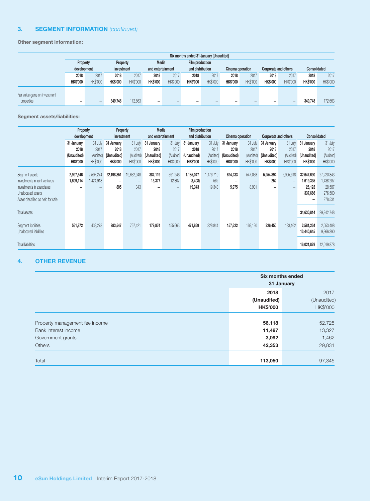#### 3. SEGMENT INFORMATION *(continued)*

Other segment information:

|                                |                 | Six months ended 31 January (Unaudited) |                 |                 |                   |                 |                  |                 |                  |                 |                      |                 |                 |                     |  |
|--------------------------------|-----------------|-----------------------------------------|-----------------|-----------------|-------------------|-----------------|------------------|-----------------|------------------|-----------------|----------------------|-----------------|-----------------|---------------------|--|
|                                | Property        |                                         | Property        |                 |                   | Media           |                  | Film production |                  |                 |                      |                 |                 |                     |  |
|                                | development     |                                         | investment      |                 | and entertainment |                 | and distribution |                 | Cinema operation |                 | Corporate and others |                 |                 | <b>Consolidated</b> |  |
|                                | 2018            | 2017                                    | 2018            | 2017            | 2018              | 2017            | 2018             | 2017            | 2018             | 2017            | 2018                 | 2017            | 2018            | 2017                |  |
|                                | <b>HK\$'000</b> | <b>HK\$'000</b>                         | <b>HK\$'000</b> | <b>HK\$'000</b> | <b>HK\$'000</b>   | <b>HK\$'000</b> | <b>HK\$'000</b>  | <b>HK\$'000</b> | <b>HK\$'000</b>  | <b>HK\$'000</b> | <b>HK\$'000</b>      | <b>HK\$'000</b> | <b>HK\$'000</b> | <b>HK\$'000</b>     |  |
| Fair value gains on investment |                 |                                         |                 |                 |                   |                 |                  |                 |                  |                 |                      |                 |                 |                     |  |
| properties                     |                 | -                                       | 349,748         | 172.663         |                   |                 | -                |                 |                  |                 | -                    | -               | 349,748         | 172,663             |  |

Segment assets/liabilities:

|                                                                                                                                         | Property<br>development        |                              | Property<br>investment         |                                      |                                | Media<br>and entertainment |                                 | Film production<br>and distribution |                                | Cinema operation             | Corporate and others           |                              | Consolidated                                      |                                                         |
|-----------------------------------------------------------------------------------------------------------------------------------------|--------------------------------|------------------------------|--------------------------------|--------------------------------------|--------------------------------|----------------------------|---------------------------------|-------------------------------------|--------------------------------|------------------------------|--------------------------------|------------------------------|---------------------------------------------------|---------------------------------------------------------|
|                                                                                                                                         | 31 January<br>2018             | 31 July<br>2017              | 31 January<br>2018             | 31 July<br>2017                      | 31 January<br>2018             | 31 July<br>2017            | 31 January<br>2018              | 31 July<br>2017                     | 31 January<br>2018             | 31 July<br>2017              | 31 January<br>2018             | 31 July<br>2017              | 31 January<br>2018                                | 31 July<br>2017                                         |
|                                                                                                                                         | (Unaudited)<br><b>HK\$'000</b> | (Audited)<br><b>HK\$'000</b> | (Unaudited)<br><b>HK\$'000</b> | (Audited)<br><b>HK\$'000</b>         | (Unaudited)<br><b>HK\$'000</b> | (Audited)<br>HK\$'000      | (Unaudited)<br><b>HK\$'000</b>  | (Audited)<br><b>HK\$'000</b>        | (Unaudited)<br><b>HK\$'000</b> | (Audited)<br><b>HK\$'000</b> | (Unaudited)<br><b>HK\$'000</b> | (Audited)<br><b>HK\$'000</b> | (Unaudited)<br><b>HK\$'000</b>                    | (Audited)<br><b>HK\$'000</b>                            |
| Segment assets<br>Investments in joint ventures<br>Investments in associates<br>Unallocated assets<br>Asset classified as held for sale | 2,997,546<br>1,609,114         | 2,597,274<br>1,424,918       | 22,198,851<br>-<br>805         | 19,632,948<br>$\qquad \qquad$<br>343 | 387,119<br>13,377              | 361,246<br>12,807          | 1,185,047<br>(3, 408)<br>19,343 | 1,176,719<br>562<br>19,343          | 624,233<br>-<br>5,975          | 547,038<br>-<br>8,901        | 5,254,894<br>252<br>-          | 2,905,618<br>-<br>-          | 32,647,690<br>1,619,335<br>26,123<br>337,666<br>- | 27,220,843<br>1,438,287<br>28,587<br>276,500<br>278,531 |
| Total assets<br>Segment liabilities                                                                                                     | 561,872                        | 439,278                      | 983,547                        | 767,421                              | 179,874                        | 155,663                    | 471,869                         | 328,844                             | 157,622                        | 169,120                      | 226,450                        | 193,162                      | 34,630,814<br>2,581,234                           | 29,242,748<br>2,053,488                                 |
| Unallocated liabilities<br><b>Total liabilities</b>                                                                                     |                                |                              |                                |                                      |                                |                            |                                 |                                     |                                |                              |                                |                              | 13,440,645<br>16,021,879                          | 9,966,390<br>12,019,878                                 |

#### 4. OTHER REVENUE

|                                |                 | Six months ended<br>31 January |
|--------------------------------|-----------------|--------------------------------|
|                                | 2018            | 2017                           |
|                                | (Unaudited)     | (Unaudited)                    |
|                                | <b>HK\$'000</b> | HK\$'000                       |
|                                |                 |                                |
| Property management fee income | 56,118          | 52,725                         |
| Bank interest income           | 11,487          | 13,327                         |
| Government grants              | 3,092           | 1,462                          |
| <b>Others</b>                  | 42,353          | 29,831                         |
|                                |                 |                                |
| Total                          | 113,050         | 97,345                         |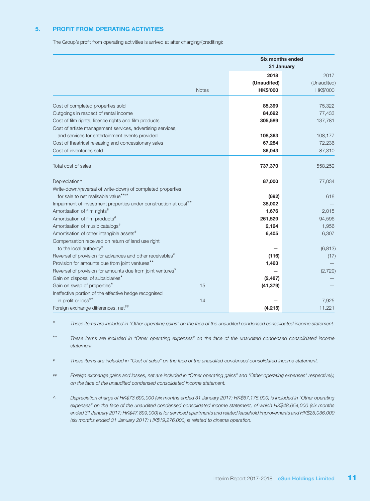#### 5. PROFIT FROM OPERATING ACTIVITIES

The Group's profit from operating activities is arrived at after charging/(crediting):

|                                                                                                  |                 | <b>Six months ended</b><br>31 January |
|--------------------------------------------------------------------------------------------------|-----------------|---------------------------------------|
|                                                                                                  | 2018            | 2017                                  |
|                                                                                                  | (Unaudited)     | (Unaudited)                           |
| <b>Notes</b>                                                                                     | <b>HK\$'000</b> | <b>HK\$'000</b>                       |
| Cost of completed properties sold                                                                | 85,399          | 75,322                                |
| Outgoings in respect of rental income                                                            | 84,692          | 77,433                                |
| Cost of film rights, licence rights and film products                                            | 305,589         | 137,781                               |
| Cost of artiste management services, advertising services,                                       |                 |                                       |
| and services for entertainment events provided                                                   | 108,363         | 108,177                               |
| Cost of theatrical releasing and concessionary sales                                             | 67,284          | 72,236                                |
| Cost of inventories sold                                                                         | 86,043          | 87,310                                |
| Total cost of sales                                                                              | 737,370         | 558,259                               |
|                                                                                                  |                 |                                       |
| Depreciation^                                                                                    | 87,000          | 77,034                                |
| Write-down/(reversal of write-down) of completed properties                                      |                 |                                       |
| for sale to net realisable value**/*                                                             | (692)           | 618                                   |
| Impairment of investment properties under construction at cost <sup>**</sup>                     | 38,002          |                                       |
| Amortisation of film rights <sup>#</sup>                                                         | 1,676           | 2,015                                 |
| Amortisation of film products <sup>#</sup>                                                       | 261,529         | 94,596                                |
| Amortisation of music catalogs <sup>#</sup>                                                      | 2,124           | 1,956                                 |
| Amortisation of other intangible assets <sup>#</sup>                                             | 6,405           | 6,307                                 |
| Compensation received on return of land use right                                                |                 |                                       |
| to the local authority*<br>Reversal of provision for advances and other receivables <sup>*</sup> | (116)           | (6, 813)                              |
| Provision for amounts due from joint ventures**                                                  | 1,463           | (17)                                  |
| Reversal of provision for amounts due from joint ventures <sup>*</sup>                           |                 | (2,729)                               |
| Gain on disposal of subsidiaries*                                                                | (2, 487)        |                                       |
| Gain on swap of properties*<br>15                                                                | (41, 379)       |                                       |
| Ineffective portion of the effective hedge recognised                                            |                 |                                       |
| in profit or loss**<br>14                                                                        |                 | 7,925                                 |
| Foreign exchange differences, net##                                                              | (4, 215)        | 11,221                                |

\* *These items are included in "Other operating gains" on the face of the unaudited condensed consolidated income statement.*

\*\* *These items are included in "Other operating expenses" on the face of the unaudited condensed consolidated income statement.*

- # *These items are included in "Cost of sales" on the face of the unaudited condensed consolidated income statement.*
- ## *Foreign exchange gains and losses, net are included in "Other operating gains" and "Other operating expenses" respectively, on the face of the unaudited condensed consolidated income statement.*
- ^ *Depreciation charge of HK\$73,690,000 (six months ended 31 January 2017: HK\$67,175,000) is included in "Other operating expenses" on the face of the unaudited condensed consolidated income statement, of which HK\$48,654,000 (six months ended 31 January 2017: HK\$47,899,000) is for serviced apartments and related leasehold improvements and HK\$25,036,000 (six months ended 31 January 2017: HK\$19,276,000) is related to cinema operation.*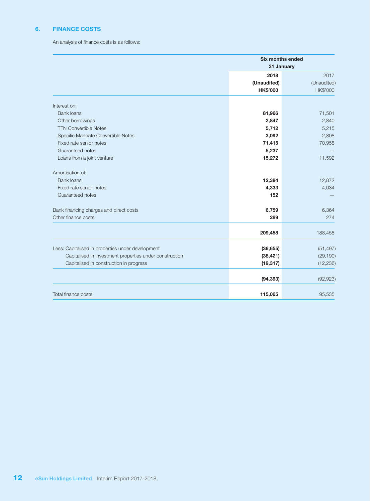#### 6. FINANCE COSTS

An analysis of finance costs is as follows:

|                                                         | <b>Six months ended</b><br>31 January |             |
|---------------------------------------------------------|---------------------------------------|-------------|
|                                                         | 2018                                  | 2017        |
|                                                         | (Unaudited)                           | (Unaudited) |
|                                                         | <b>HK\$'000</b>                       | HK\$'000    |
| Interest on:                                            |                                       |             |
| <b>Bank loans</b>                                       | 81,966                                | 71,501      |
| Other borrowings                                        | 2,847                                 | 2,840       |
| <b>TFN Convertible Notes</b>                            | 5,712                                 | 5,215       |
| Specific Mandate Convertible Notes                      | 3,092                                 | 2,808       |
| Fixed rate senior notes                                 | 71,415                                | 70,958      |
| Guaranteed notes                                        | 5,237                                 |             |
| Loans from a joint venture                              | 15,272                                | 11,592      |
| Amortisation of:                                        |                                       |             |
| <b>Bank loans</b>                                       | 12,384                                | 12,872      |
| Fixed rate senior notes                                 | 4,333                                 | 4,034       |
| Guaranteed notes                                        | 152                                   |             |
| Bank financing charges and direct costs                 | 6,759                                 | 6,364       |
| Other finance costs                                     | 289                                   | 274         |
|                                                         | 209,458                               | 188,458     |
| Less: Capitalised in properties under development       | (36, 655)                             | (51, 497)   |
| Capitalised in investment properties under construction | (38, 421)                             | (29, 190)   |
| Capitalised in construction in progress                 | (19, 317)                             | (12, 236)   |
|                                                         |                                       |             |
|                                                         | (94, 393)                             | (92, 923)   |
| Total finance costs                                     | 115,065                               | 95,535      |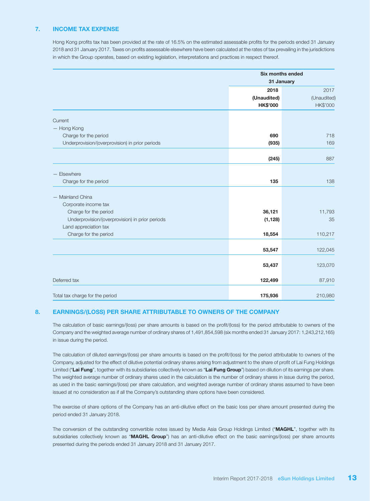#### 7. INCOME TAX EXPENSE

Hong Kong profits tax has been provided at the rate of 16.5% on the estimated assessable profits for the periods ended 31 January 2018 and 31 January 2017. Taxes on profits assessable elsewhere have been calculated at the rates of tax prevailing in the jurisdictions in which the Group operates, based on existing legislation, interpretations and practices in respect thereof.

|                                                 | <b>Six months ended</b><br>31 January |             |
|-------------------------------------------------|---------------------------------------|-------------|
|                                                 | 2018                                  | 2017        |
|                                                 | (Unaudited)                           | (Unaudited) |
|                                                 | <b>HK\$'000</b>                       | HK\$'000    |
| Current                                         |                                       |             |
| - Hong Kong                                     |                                       |             |
| Charge for the period                           | 690                                   | 718         |
| Underprovision/(overprovision) in prior periods | (935)                                 | 169         |
|                                                 | (245)                                 | 887         |
|                                                 |                                       |             |
| - Elsewhere                                     |                                       |             |
| Charge for the period                           | 135                                   | 138         |
| - Mainland China                                |                                       |             |
| Corporate income tax                            |                                       |             |
| Charge for the period                           | 36,121                                | 11,793      |
| Underprovision/(overprovision) in prior periods | (1, 128)                              | 35          |
| Land appreciation tax                           |                                       |             |
| Charge for the period                           | 18,554                                | 110,217     |
|                                                 | 53,547                                | 122,045     |
|                                                 |                                       |             |
|                                                 | 53,437                                | 123,070     |
| Deferred tax                                    | 122,499                               | 87,910      |
| Total tax charge for the period                 | 175,936                               | 210,980     |

#### 8. EARNINGS/(LOSS) PER SHARE ATTRIBUTABLE TO OWNERS OF THE COMPANY

The calculation of basic earnings/(loss) per share amounts is based on the profit/(loss) for the period attributable to owners of the Company and the weighted average number of ordinary shares of 1,491,854,598 (six months ended 31 January 2017: 1,243,212,165) in issue during the period.

The calculation of diluted earnings/(loss) per share amounts is based on the profit/(loss) for the period attributable to owners of the Company, adjusted for the effect of dilutive potential ordinary shares arising from adjustment to the share of profit of Lai Fung Holdings Limited ("Lai Fung", together with its subsidiaries collectively known as "Lai Fung Group") based on dilution of its earnings per share. The weighted average number of ordinary shares used in the calculation is the number of ordinary shares in issue during the period, as used in the basic earnings/(loss) per share calculation, and weighted average number of ordinary shares assumed to have been issued at no consideration as if all the Company's outstanding share options have been considered.

The exercise of share options of the Company has an anti-dilutive effect on the basic loss per share amount presented during the period ended 31 January 2018.

The conversion of the outstanding convertible notes issued by Media Asia Group Holdings Limited ("MAGHL", together with its subsidiaries collectively known as "MAGHL Group") has an anti-dilutive effect on the basic earnings/(loss) per share amounts presented during the periods ended 31 January 2018 and 31 January 2017.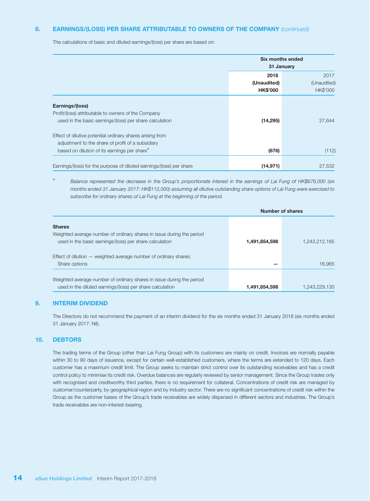#### 8. EARNINGS/(LOSS) PER SHARE ATTRIBUTABLE TO OWNERS OF THE COMPANY *(continued)*

The calculations of basic and diluted earnings/(loss) per share are based on:

|                                                                      | Six months ended<br>31 January |                         |
|----------------------------------------------------------------------|--------------------------------|-------------------------|
|                                                                      | 2018<br>(Unaudited)            |                         |
|                                                                      | <b>HK\$'000</b>                | (Unaudited)<br>HK\$'000 |
| Earnings/(loss)                                                      |                                |                         |
| Profit/(loss) attributable to owners of the Company                  |                                |                         |
| used in the basic earnings/(loss) per share calculation              | (14, 295)                      | 27,644                  |
| Effect of dilutive potential ordinary shares arising from            |                                |                         |
| adjustment to the share of profit of a subsidiary                    |                                |                         |
| based on dilution of its earnings per share*                         | (676)                          | (112)                   |
| Earnings/(loss) for the purpose of diluted earnings/(loss) per share | (14, 971)                      | 27,532                  |

\* *Balance represented the decrease in the Group's proportionate interest in the earnings of Lai Fung of HK\$676,000 (six months ended 31 January 2017: HK\$112,000) assuming all dilutive outstanding share options of Lai Fung were exercised to subscribe for ordinary shares of Lai Fung at the beginning of the period.*

|                                                                                                                                                   |               | Number of shares |
|---------------------------------------------------------------------------------------------------------------------------------------------------|---------------|------------------|
| <b>Shares</b><br>Weighted average number of ordinary shares in issue during the period<br>used in the basic earnings/(loss) per share calculation | 1,491,854,598 | 1.243.212.165    |
| Effect of dilution $-$ weighted average number of ordinary shares:<br>Share options                                                               |               | 16.965           |
| Weighted average number of ordinary shares in issue during the period<br>used in the diluted earnings/(loss) per share calculation                | 1,491,854,598 | 1.243.229.130    |

#### 9. INTERIM DIVIDEND

The Directors do not recommend the payment of an interim dividend for the six months ended 31 January 2018 (six months ended 31 January 2017: Nil).

#### 10. DEBTORS

The trading terms of the Group (other than Lai Fung Group) with its customers are mainly on credit. Invoices are normally payable within 30 to 90 days of issuance, except for certain well-established customers, where the terms are extended to 120 days. Each customer has a maximum credit limit. The Group seeks to maintain strict control over its outstanding receivables and has a credit control policy to minimise its credit risk. Overdue balances are regularly reviewed by senior management. Since the Group trades only with recognised and creditworthy third parties, there is no requirement for collateral. Concentrations of credit risk are managed by customer/counterparty, by geographical region and by industry sector. There are no significant concentrations of credit risk within the Group as the customer bases of the Group's trade receivables are widely dispersed in different sectors and industries. The Group's trade receivables are non-interest-bearing.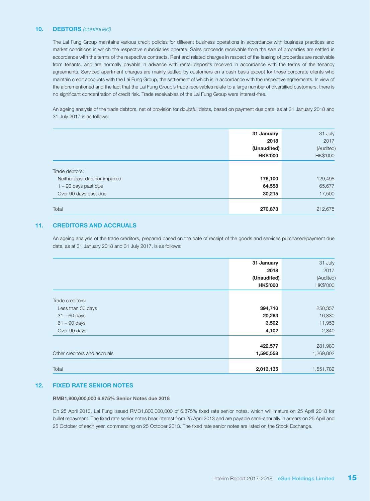#### 10. DEBTORS *(continued)*

The Lai Fung Group maintains various credit policies for different business operations in accordance with business practices and market conditions in which the respective subsidiaries operate. Sales proceeds receivable from the sale of properties are settled in accordance with the terms of the respective contracts. Rent and related charges in respect of the leasing of properties are receivable from tenants, and are normally payable in advance with rental deposits received in accordance with the terms of the tenancy agreements. Serviced apartment charges are mainly settled by customers on a cash basis except for those corporate clients who maintain credit accounts with the Lai Fung Group, the settlement of which is in accordance with the respective agreements. In view of the aforementioned and the fact that the Lai Fung Group's trade receivables relate to a large number of diversified customers, there is no significant concentration of credit risk. Trade receivables of the Lai Fung Group were interest-free.

An ageing analysis of the trade debtors, net of provision for doubtful debts, based on payment due date, as at 31 January 2018 and 31 July 2017 is as follows:

|                               | 31 January      | 31 July   |
|-------------------------------|-----------------|-----------|
|                               | 2018            | 2017      |
|                               | (Unaudited)     | (Audited) |
|                               | <b>HK\$'000</b> | HK\$'000  |
|                               |                 |           |
| Trade debtors:                |                 |           |
| Neither past due nor impaired | 176,100         | 129,498   |
| $1 - 90$ days past due        | 64,558          | 65,677    |
| Over 90 days past due         | 30,215          | 17,500    |
|                               |                 |           |
| Total                         | 270,873         | 212,675   |

#### 11. CREDITORS AND ACCRUALS

An ageing analysis of the trade creditors, prepared based on the date of receipt of the goods and services purchased/payment due date, as at 31 January 2018 and 31 July 2017, is as follows:

|                              | 31 January      | 31 July         |
|------------------------------|-----------------|-----------------|
|                              | 2018            | 2017            |
|                              | (Unaudited)     | (Audited)       |
|                              | <b>HK\$'000</b> | <b>HK\$'000</b> |
|                              |                 |                 |
| Trade creditors:             |                 |                 |
| Less than 30 days            | 394,710         | 250,357         |
| $31 - 60$ days               | 20,263          | 16,830          |
| $61 - 90$ days               | 3,502           | 11,953          |
| Over 90 days                 | 4,102           | 2,840           |
|                              |                 |                 |
|                              | 422,577         | 281,980         |
| Other creditors and accruals | 1,590,558       | 1,269,802       |
|                              |                 |                 |
| Total                        | 2,013,135       | 1,551,782       |

#### 12. FIXED RATE SENIOR NOTES

RMB1,800,000,000 6.875% Senior Notes due 2018

On 25 April 2013, Lai Fung issued RMB1,800,000,000 of 6.875% fixed rate senior notes, which will mature on 25 April 2018 for bullet repayment. The fixed rate senior notes bear interest from 25 April 2013 and are payable semi-annually in arrears on 25 April and 25 October of each year, commencing on 25 October 2013. The fixed rate senior notes are listed on the Stock Exchange.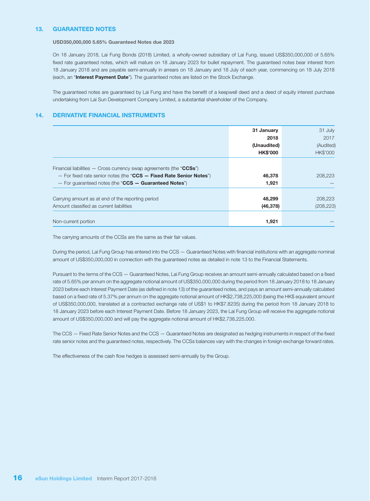#### 13. GUARANTEED NOTES

USD350,000,000 5.65% Guaranteed Notes due 2023

On 18 January 2018, Lai Fung Bonds (2018) Limited, a wholly-owned subsidiary of Lai Fung, issued US\$350,000,000 of 5.65% fixed rate guaranteed notes, which will mature on 18 January 2023 for bullet repayment. The guaranteed notes bear interest from 18 January 2018 and are payable semi-annually in arrears on 18 January and 18 July of each year, commencing on 18 July 2018 (each, an "Interest Payment Date"). The guaranteed notes are listed on the Stock Exchange.

The guaranteed notes are guaranteed by Lai Fung and have the benefit of a keepwell deed and a deed of equity interest purchase undertaking from Lai Sun Development Company Limited, a substantial shareholder of the Company.

#### 14. DERIVATIVE FINANCIAL INSTRUMENTS

|                                                                       | 31 January      | 31 July         |
|-----------------------------------------------------------------------|-----------------|-----------------|
|                                                                       | 2018            | 2017            |
|                                                                       | (Unaudited)     | (Audited)       |
|                                                                       | <b>HK\$'000</b> | <b>HK\$'000</b> |
|                                                                       |                 |                 |
| Financial liabilities $-$ Cross currency swap agreements (the "CCSs") |                 |                 |
| - For fixed rate senior notes (the "CCS - Fixed Rate Senior Notes")   | 46,378          | 208,223         |
| - For quaranteed notes (the "CCS - Guaranteed Notes")                 | 1,921           |                 |
| Carrying amount as at end of the reporting period                     | 48,299          | 208,223         |
| Amount classified as current liabilities                              | (46, 378)       | (208, 223)      |
|                                                                       |                 |                 |
| Non-current portion                                                   | 1,921           |                 |

The carrying amounts of the CCSs are the same as their fair values.

During the period, Lai Fung Group has entered into the CCS — Guaranteed Notes with financial institutions with an aggregate nominal amount of US\$350,000,000 in connection with the guaranteed notes as detailed in note 13 to the Financial Statements.

Pursuant to the terms of the CCS — Guaranteed Notes, Lai Fung Group receives an amount semi-annually calculated based on a fixed rate of 5.65% per annum on the aggregate notional amount of US\$350,000,000 during the period from 18 January 2018 to 18 January 2023 before each Interest Payment Date (as defined in note 13) of the guaranteed notes, and pays an amount semi-annually calculated based on a fixed rate of 5.37% per annum on the aggregate notional amount of HK\$2,738,225,000 (being the HK\$ equivalent amount of US\$350,000,000, translated at a contracted exchange rate of US\$1 to HK\$7.8235) during the period from 18 January 2018 to 18 January 2023 before each Interest Payment Date. Before 18 January 2023, the Lai Fung Group will receive the aggregate notional amount of US\$350,000,000 and will pay the aggregate notional amount of HK\$2,738,225,000.

The CCS — Fixed Rate Senior Notes and the CCS — Guaranteed Notes are designated as hedging instruments in respect of the fixed rate senior notes and the guaranteed notes, respectively. The CCSs balances vary with the changes in foreign exchange forward rates.

The effectiveness of the cash flow hedges is assessed semi-annually by the Group.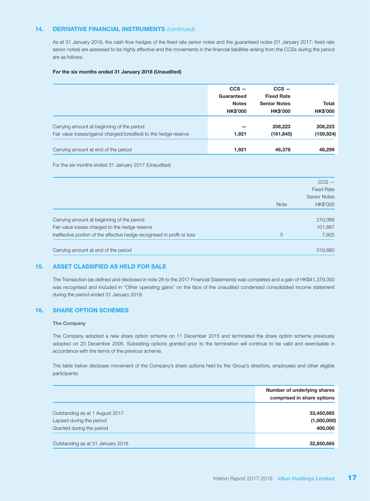#### 14. DERIVATIVE FINANCIAL INSTRUMENTS *(continued)*

As at 31 January 2018, the cash flow hedges of the fixed rate senior notes and the guaranteed notes (31 January 2017: fixed rate senior notes) are assessed to be highly effective and the movements in the financial liabilities arising from the CCSs during the period are as follows:

#### For the six months ended 31 January 2018 (Unaudited)

|                                                                   | $ccs -$         | $ccs -$             |                 |
|-------------------------------------------------------------------|-----------------|---------------------|-----------------|
|                                                                   | Guaranteed      | <b>Fixed Rate</b>   |                 |
|                                                                   | <b>Notes</b>    | <b>Senior Notes</b> | <b>Total</b>    |
|                                                                   | <b>HK\$'000</b> | <b>HK\$'000</b>     | <b>HK\$'000</b> |
|                                                                   |                 |                     |                 |
| Carrying amount at beginning of the period                        |                 | 208,223             | 208,223         |
| Fair value losses/(gains) charged/(credited) to the hedge reserve | 1,921           | (161, 845)          | (159, 924)      |
| Carrying amount at end of the period                              | 1,921           | 46,378              | 48.299          |

For the six months ended 31 January 2017 (Unaudited)

|                                                                         |             | $CCS -$             |
|-------------------------------------------------------------------------|-------------|---------------------|
|                                                                         |             | <b>Fixed Rate</b>   |
|                                                                         |             | <b>Senior Notes</b> |
|                                                                         | <b>Note</b> | HK\$'000            |
|                                                                         |             |                     |
| Carrying amount at beginning of the period                              |             | 210,068             |
| Fair value losses charged to the hedge reserve                          |             | 101,887             |
| Ineffective portion of the effective hedge recognised in profit or loss | 5           | 7,925               |
| Carrying amount at end of the period                                    |             | 319,880             |

#### 15. ASSET CLASSIFIED AS HELD FOR SALE

The Transaction (as defined and disclosed in note 28 to the 2017 Financial Statements) was completed and a gain of HK\$41,379,000 was recognised and included in "Other operating gains" on the face of the unaudited condensed consolidated income statement during the period ended 31 January 2018.

#### 16. SHARE OPTION SCHEMES

#### The Company

The Company adopted a new share option scheme on 11 December 2015 and terminated the share option scheme previously adopted on 23 December 2005. Subsisting options granted prior to the termination will continue to be valid and exercisable in accordance with the terms of the previous scheme.

The table below discloses movement of the Company's share options held by the Group's directors, employees and other eligible participants:

|                                   | Number of underlying shares<br>comprised in share options |
|-----------------------------------|-----------------------------------------------------------|
|                                   |                                                           |
| Outstanding as at 1 August 2017   | 33,450,665                                                |
| Lapsed during the period          | (1,000,000)                                               |
| Granted during the period         | 400,000                                                   |
|                                   |                                                           |
| Outstanding as at 31 January 2018 | 32,850,665                                                |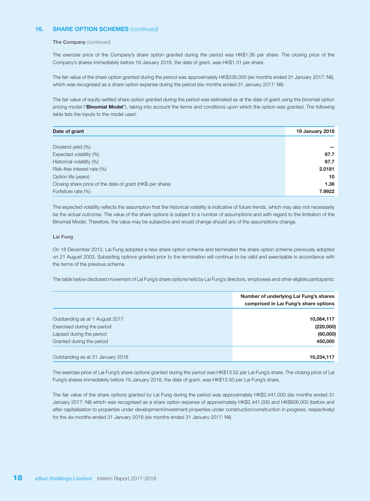#### 16. SHARE OPTION SCHEMES *(continued)*

#### The Company *(continued)*

The exercise price of the Company's share option granted during the period was HK\$1.36 per share. The closing price of the Company's shares immediately before 19 January 2018, the date of grant, was HK\$1.31 per share.

The fair value of the share option granted during the period was approximately HK\$238,000 (six months ended 31 January 2017: Nil), which was recognised as a share option expense during the period (six months ended 31 January 2017: Nil).

The fair value of equity-settled share option granted during the period was estimated as at the date of grant using the binomial option pricing model ("Binomial Model"), taking into account the terms and conditions upon which the option was granted. The following table lists the inputs to the model used:

| Date of grant                                             | <b>19 January 2018</b> |
|-----------------------------------------------------------|------------------------|
|                                                           |                        |
| Dividend yield (%)                                        |                        |
| Expected volatility (%)                                   | 67.7                   |
| Historical volatility (%)                                 | 67.7                   |
| Risk-free interest rate (%)                               | 2.0181                 |
| Option life (years)                                       | 10                     |
| Closing share price of the date of grant (HK\$ per share) | 1.36                   |
| Forfeiture rate (%)                                       | 7.9922                 |

The expected volatility reflects the assumption that the historical volatility is indicative of future trends, which may also not necessarily be the actual outcome. The value of the share options is subject to a number of assumptions and with regard to the limitation of the Binomial Model. Therefore, the value may be subjective and would change should any of the assumptions change.

#### Lai Fung

On 18 December 2012, Lai Fung adopted a new share option scheme and terminated the share option scheme previously adopted on 21 August 2003. Subsisting options granted prior to the termination will continue to be valid and exercisable in accordance with the terms of the previous scheme.

The table below disclosed movement of Lai Fung's share options held by Lai Fung's directors, employees and other eligible participants:

|                                   | Number of underlying Lai Fung's shares<br>comprised in Lai Fung's share options |
|-----------------------------------|---------------------------------------------------------------------------------|
| Outstanding as at 1 August 2017   | 10,064,117                                                                      |
| Exercised during the period       | (220,000)                                                                       |
| Lapsed during the period          | (60,000)                                                                        |
| Granted during the period         | 450,000                                                                         |
| Outstanding as at 31 January 2018 | 10,234,117                                                                      |

The exercise price of Lai Fung's share options granted during the period was HK\$13.52 per Lai Fung's share. The closing price of Lai Fung's shares immediately before 19 January 2018, the date of grant, was HK\$13.50 per Lai Fung's share.

The fair value of the share options granted by Lai Fung during the period was approximately HK\$2,441,000 (six months ended 31 January 2017: Nil) which was recognised as a share option expense of approximately HK\$2,441,000 and HK\$806,000 (before and after capitalisation to properties under development/investment properties under construction/construction in progress, respectively) for the six months ended 31 January 2018 (six months ended 31 January 2017: Nil).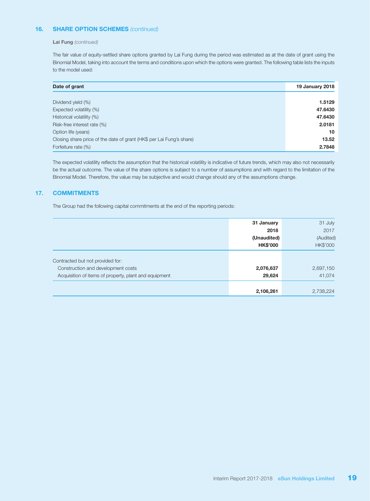#### 16. SHARE OPTION SCHEMES *(continued)*

#### Lai Fung *(continued)*

The fair value of equity-settled share options granted by Lai Fung during the period was estimated as at the date of grant using the Binomial Model, taking into account the terms and conditions upon which the options were granted. The following table lists the inputs to the model used:

| Date of grant                                                        | <b>19 January 2018</b> |
|----------------------------------------------------------------------|------------------------|
|                                                                      |                        |
| Dividend yield (%)                                                   | 1.5129                 |
| Expected volatility (%)                                              | 47.6430                |
| Historical volatility (%)                                            | 47.6430                |
| Risk-free interest rate (%)                                          | 2.0181                 |
| Option life (years)                                                  | 10                     |
| Closing share price of the date of grant (HK\$ per Lai Fung's share) | 13.52                  |
| Forfeiture rate (%)                                                  | 2.7848                 |

The expected volatility reflects the assumption that the historical volatility is indicative of future trends, which may also not necessarily be the actual outcome. The value of the share options is subject to a number of assumptions and with regard to the limitation of the Binomial Model. Therefore, the value may be subjective and would change should any of the assumptions change.

#### 17. COMMITMENTS

The Group had the following capital commitments at the end of the reporting periods:

|                                                       | 31 January      | 31 July   |
|-------------------------------------------------------|-----------------|-----------|
|                                                       | 2018            | 2017      |
|                                                       | (Unaudited)     | (Audited) |
|                                                       | <b>HK\$'000</b> | HK\$'000  |
| Contracted but not provided for:                      |                 |           |
| Construction and development costs                    | 2,076,637       | 2,697,150 |
|                                                       |                 |           |
| Acquisition of items of property, plant and equipment | 29,624          | 41.074    |
|                                                       | 2,106,261       | 2,738,224 |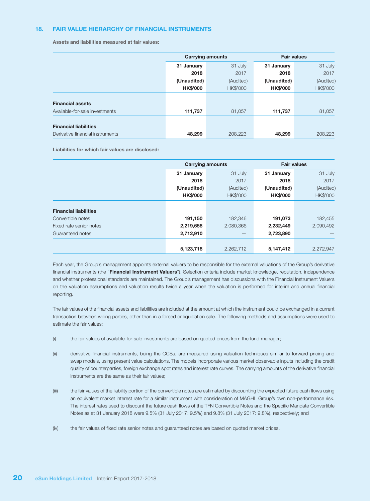#### 18. FAIR VALUE HIERARCHY OF FINANCIAL INSTRUMENTS

Assets and liabilities measured at fair values:

|                                  |                 | <b>Carrying amounts</b> | <b>Fair values</b> |           |
|----------------------------------|-----------------|-------------------------|--------------------|-----------|
|                                  | 31 January      | 31 July                 | 31 January         | 31 July   |
|                                  | 2018            | 2017                    | 2018               | 2017      |
|                                  | (Unaudited)     | (Audited)               | (Unaudited)        | (Audited) |
|                                  | <b>HK\$'000</b> | HK\$'000                | <b>HK\$'000</b>    | HK\$'000  |
| <b>Financial assets</b>          |                 |                         |                    |           |
| Available-for-sale investments   | 111,737         | 81,057                  | 111,737            | 81,057    |
| <b>Financial liabilities</b>     |                 |                         |                    |           |
| Derivative financial instruments | 48,299          | 208.223                 | 48,299             | 208.223   |

Liabilities for which fair values are disclosed:

|                              | <b>Carrying amounts</b> |                 | <b>Fair values</b> |           |
|------------------------------|-------------------------|-----------------|--------------------|-----------|
|                              | 31 January              | 31 July         | 31 January         | 31 July   |
|                              | 2018                    | 2017            | 2018               | 2017      |
|                              | (Unaudited)             | (Audited)       | (Unaudited)        | (Audited) |
|                              | <b>HK\$'000</b>         | <b>HK\$'000</b> | <b>HK\$'000</b>    | HK\$'000  |
|                              |                         |                 |                    |           |
| <b>Financial liabilities</b> |                         |                 |                    |           |
| Convertible notes            | 191,150                 | 182,346         | 191,073            | 182,455   |
| Fixed rate senior notes      | 2,219,658               | 2,080,366       | 2,232,449          | 2,090,492 |
| Guaranteed notes             | 2,712,910               |                 | 2,723,890          |           |
|                              |                         |                 |                    |           |
|                              | 5,123,718               | 2,262,712       | 5,147,412          | 2,272,947 |

Each year, the Group's management appoints external valuers to be responsible for the external valuations of the Group's derivative financial instruments (the "Financial Instrument Valuers"). Selection criteria include market knowledge, reputation, independence and whether professional standards are maintained. The Group's management has discussions with the Financial Instrument Valuers on the valuation assumptions and valuation results twice a year when the valuation is performed for interim and annual financial reporting.

The fair values of the financial assets and liabilities are included at the amount at which the instrument could be exchanged in a current transaction between willing parties, other than in a forced or liquidation sale. The following methods and assumptions were used to estimate the fair values:

- (i) the fair values of available-for-sale investments are based on quoted prices from the fund manager;
- (ii) derivative financial instruments, being the CCSs, are measured using valuation techniques similar to forward pricing and swap models, using present value calculations. The models incorporate various market observable inputs including the credit quality of counterparties, foreign exchange spot rates and interest rate curves. The carrying amounts of the derivative financial instruments are the same as their fair values;
- (iii) the fair values of the liability portion of the convertible notes are estimated by discounting the expected future cash flows using an equivalent market interest rate for a similar instrument with consideration of MAGHL Group's own non-performance risk. The interest rates used to discount the future cash flows of the TFN Convertible Notes and the Specific Mandate Convertible Notes as at 31 January 2018 were 9.5% (31 July 2017: 9.5%) and 9.8% (31 July 2017: 9.8%), respectively; and
- (iv) the fair values of fixed rate senior notes and guaranteed notes are based on quoted market prices.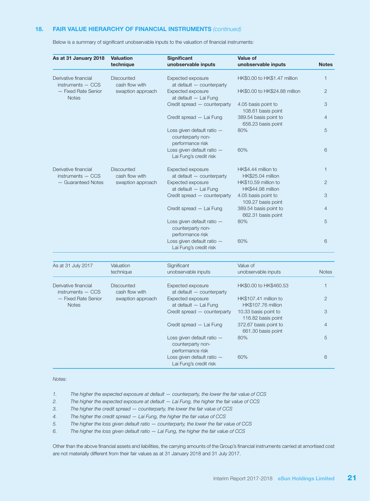#### 18. FAIR VALUE HIERARCHY OF FINANCIAL INSTRUMENTS *(continued)*

| As at 31 January 2018                       | <b>Valuation</b><br>technique       | <b>Significant</b><br>unobservable inputs                           | Value of<br>unobservable inputs             | <b>Notes</b>   |
|---------------------------------------------|-------------------------------------|---------------------------------------------------------------------|---------------------------------------------|----------------|
|                                             |                                     |                                                                     |                                             |                |
| Derivative financial<br>$instruments - CCS$ | Discounted<br>cash flow with        | Expected exposure<br>at default - counterparty                      | HK\$0.00 to HK\$1.47 million                | $\mathbf{1}$   |
| - Fixed Rate Senior<br><b>Notes</b>         | swaption approach                   | Expected exposure<br>at default - Lai Fung                          | HK\$0.00 to HK\$24.88 million               | $\overline{2}$ |
|                                             |                                     | Credit spread - counterparty                                        | 4.05 basis point to<br>108.61 basis point   | 3              |
|                                             |                                     | Credit spread - Lai Fung                                            | 389.54 basis point to<br>658.23 basis point | $\overline{4}$ |
|                                             |                                     | Loss given default ratio -<br>counterparty non-<br>performance risk | 80%                                         | 5              |
|                                             |                                     | Loss given default ratio -<br>Lai Fung's credit risk                | 60%                                         | 6              |
| Derivative financial<br>$instruments - CCS$ | <b>Discounted</b><br>cash flow with | Expected exposure<br>at default - counterparty                      | HK\$4.44 million to<br>HK\$25.04 million    | 1              |
| - Guaranteed Notes                          | swaption approach                   | Expected exposure<br>at default - Lai Fung                          | HK\$10.59 million to<br>HK\$44.98 million   | $\overline{2}$ |
|                                             |                                     | Credit spread - counterparty                                        | 4.05 basis point to<br>109.27 basis point   | 3              |
|                                             |                                     | Credit spread - Lai Fung                                            | 389.54 basis point to<br>662.31 basis point | 4              |
|                                             |                                     | Loss given default ratio -<br>counterparty non-<br>performance risk | 80%                                         | 5              |
|                                             |                                     | Loss given default ratio -<br>Lai Fung's credit risk                | 60%                                         | 6              |
|                                             |                                     |                                                                     |                                             |                |
| As at 31 July 2017                          | Valuation<br>technique              | Significant<br>unobservable inputs                                  | Value of<br>unobservable inputs             | <b>Notes</b>   |
| Derivative financial<br>$instruments - CCS$ | Discounted<br>cash flow with        | Expected exposure<br>at default - counterparty                      | HK\$0.00 to HK\$460.53                      | 1              |

— Fixed Rate Senior swaption approach Expected exposure HK\$107.41 million to 2

counterparty nonperformance risk

Lai Fung's credit risk

Credit spread — counterparty 10.33 basis point to 3

Credit spread — Lai Fung 372.67 basis point to 4

Loss given default ratio — 80% 5

Loss given default ratio — 60% 6

116.82 basis point

661.30 basis point

Below is a summary of significant unobservable inputs to the valuation of financial instruments:

#### *Notes:*

*1. The higher the expected exposure at default — counterparty, the lower the fair value of CCS*

Notes at default — Lai Fung HK\$107.76 million

*2. The higher the expected exposure at default — Lai Fung, the higher the fair value of CCS*

*3. The higher the credit spread — counterparty, the lower the fair value of CCS*

*4. The higher the credit spread — Lai Fung, the higher the fair value of CCS*

*5. The higher the loss given default ratio — counterparty, the lower the fair value of CCS*

*6. The higher the loss given default ratio — Lai Fung, the higher the fair value of CCS*

Other than the above financial assets and liabilities, the carrying amounts of the Group's financial instruments carried at amortised cost are not materially different from their fair values as at 31 January 2018 and 31 July 2017.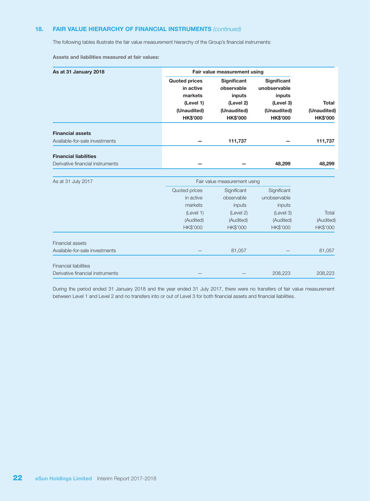#### 18. FAIR VALUE HIERARCHY OF FINANCIAL INSTRUMENTS *(continued)*

The following tables illustrate the fair value measurement hierarchy of the Group's financial instruments:

Assets and liabilities measured at fair values:

| As at 31 January 2018            |                      | Fair value measurement using |                    |                 |
|----------------------------------|----------------------|------------------------------|--------------------|-----------------|
|                                  | <b>Quoted prices</b> | <b>Significant</b>           | <b>Significant</b> |                 |
|                                  | in active            | observable                   | unobservable       |                 |
|                                  | markets              | inputs                       | inputs             |                 |
|                                  | (Level 1)            | (Level 2)                    | (Level 3)          | <b>Total</b>    |
|                                  | (Unaudited)          | (Unaudited)                  | (Unaudited)        | (Unaudited)     |
|                                  | <b>HK\$'000</b>      | <b>HK\$'000</b>              | <b>HK\$'000</b>    | <b>HK\$'000</b> |
| <b>Financial assets</b>          |                      |                              |                    |                 |
| Available-for-sale investments   |                      | 111,737                      |                    | 111,737         |
| <b>Financial liabilities</b>     |                      |                              |                    |                 |
| Derivative financial instruments |                      |                              | 48,299             | 48,299          |
|                                  |                      |                              |                    |                 |
| As at 31 July 2017               |                      | Fair value measurement using |                    |                 |
|                                  | Quoted prices        | Significant                  | Significant        |                 |
|                                  | in active            | observable                   | unobservable       |                 |
|                                  | markets              | inputs                       | inputs             |                 |
|                                  | (Level 1)            | (Level 2)                    | (Level 3)          | Total           |
|                                  | (Audited)            | (Audited)                    | (Audited)          | (Audited)       |
|                                  | HK\$'000             | HK\$'000                     | HK\$'000           | HK\$'000        |
| <b>Financial assets</b>          |                      |                              |                    |                 |
| Available-for-sale investments   |                      | 81,057                       |                    | 81,057          |
| <b>Financial liabilities</b>     |                      |                              |                    |                 |
| Derivative financial instruments |                      |                              | 208,223            | 208,223         |

During the period ended 31 January 2018 and the year ended 31 July 2017, there were no transfers of fair value measurement between Level 1 and Level 2 and no transfers into or out of Level 3 for both financial assets and financial liabilities.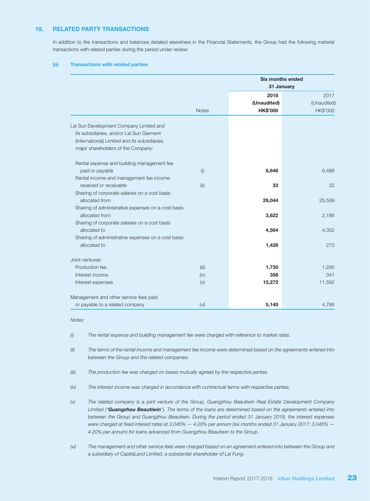#### 19. RELATED PARTY TRANSACTIONS

In addition to the transactions and balances detailed elsewhere in the Financial Statements, the Group had the following material transactions with related parties during the period under review:

#### (a) Transactions with related parties

|                                                    | <b>Six months ended</b><br>31 January |                     |                     |
|----------------------------------------------------|---------------------------------------|---------------------|---------------------|
|                                                    |                                       | 2018<br>(Unaudited) | 2017<br>(Unaudited) |
|                                                    | <b>Notes</b>                          | <b>HK\$'000</b>     | HK\$'000            |
| Lai Sun Development Company Limited and            |                                       |                     |                     |
| its subsidiaries, and/or Lai Sun Garment           |                                       |                     |                     |
| (International) Limited and its subsidiaries,      |                                       |                     |                     |
| major shareholders of the Company:                 |                                       |                     |                     |
| Rental expense and building management fee         |                                       |                     |                     |
| paid or payable                                    | (i)                                   | 6,646               | 6,488               |
| Rental income and management fee income            |                                       |                     |                     |
| received or receivable                             | (ii)                                  | 33                  | 32                  |
| Sharing of corporate salaries on a cost basis      |                                       |                     |                     |
| allocated from                                     |                                       | 29,044              | 25,599              |
| Sharing of administrative expenses on a cost basis |                                       |                     |                     |
| allocated from                                     |                                       | 3,622               | 2,186               |
| Sharing of corporate salaries on a cost basis      |                                       |                     |                     |
| allocated to                                       |                                       | 4,564               | 4,352               |
| Sharing of administrative expenses on a cost basis |                                       |                     |                     |
| allocated to                                       |                                       | 1,428               | 270                 |
| Joint ventures:                                    |                                       |                     |                     |
| Production fee                                     | (iii)                                 | 1,730               | 1,290               |
| Interest income                                    | (iv)                                  | 358                 | 341                 |
| Interest expenses                                  | (v)                                   | 15,272              | 11,592              |
| Management and other service fees paid             |                                       |                     |                     |
| or payable to a related company                    | (vi)                                  | 5,140               | 4,786               |

*Notes:*

*(i) The rental expense and building management fee were charged with reference to market rates.*

*(ii) The terms of the rental income and management fee income were determined based on the agreements entered into between the Group and the related companies.*

- *(iii) The production fee was charged on bases mutually agreed by the respective parties.*
- *(iv) The interest income was charged in accordance with contractual terms with respective parties.*

*(v) The related company is a joint venture of the Group, Guangzhou Beautiwin Real Estate Development Company Limited ("Guangzhou Beautiwin"). The terms of the loans are determined based on the agreements entered into between the Group and Guangzhou Beautiwin. During the period ended 31 January 2018, the interest expenses were charged at fixed interest rates at 3.045% — 4.20% per annum (six months ended 31 January 2017: 3.045% — 4.20% per annum) for loans advanced from Guangzhou Beautiwin to the Group.*

*(vi) The management and other service fees were charged based on an agreement entered into between the Group and a subsidiary of CapitaLand Limited, a substantial shareholder of Lai Fung.*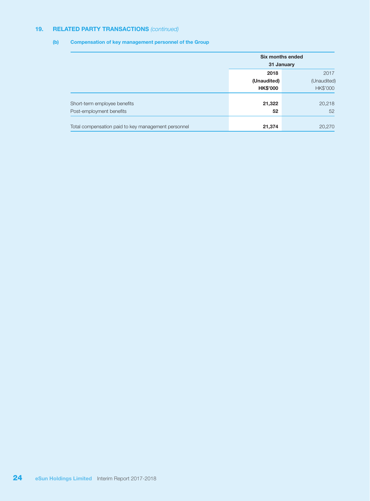#### 19. RELATED PARTY TRANSACTIONS *(continued)*

#### (b) Compensation of key management personnel of the Group

|                                                     | Six months ended<br>31 January |             |  |
|-----------------------------------------------------|--------------------------------|-------------|--|
|                                                     | 2018                           | 2017        |  |
|                                                     | (Unaudited)                    | (Unaudited) |  |
|                                                     | <b>HK\$'000</b>                | HK\$'000    |  |
| Short-term employee benefits                        | 21,322                         | 20,218      |  |
| Post-employment benefits                            | 52                             | 52          |  |
|                                                     |                                |             |  |
| Total compensation paid to key management personnel | 21,374                         | 20,270      |  |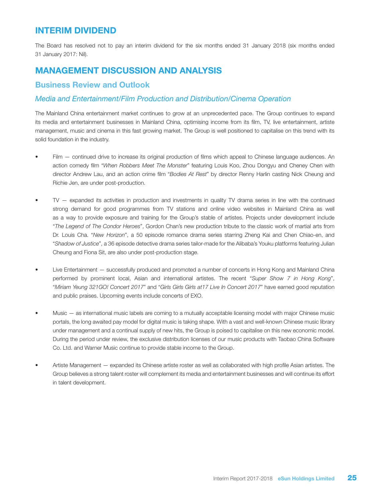# INTERIM DIVIDEND

The Board has resolved not to pay an interim dividend for the six months ended 31 January 2018 (six months ended 31 January 2017: Nil).

# MANAGEMENT DISCUSSION AND ANALYSIS

### Business Review and Outlook

### *Media and Entertainment/Film Production and Distribution/Cinema Operation*

The Mainland China entertainment market continues to grow at an unprecedented pace. The Group continues to expand its media and entertainment businesses in Mainland China, optimising income from its film, TV, live entertainment, artiste management, music and cinema in this fast growing market. The Group is well positioned to capitalise on this trend with its solid foundation in the industry.

- Film  $-$  continued drive to increase its original production of films which appeal to Chinese language audiences. An action comedy film "*When Robbers Meet The Monster*" featuring Louis Koo, Zhou Dongyu and Cheney Chen with director Andrew Lau, and an action crime film "*Bodies At Rest*" by director Renny Harlin casting Nick Cheung and Richie Jen, are under post-production.
- $TV -$  expanded its activities in production and investments in quality  $TV$  drama series in line with the continued strong demand for good programmes from TV stations and online video websites in Mainland China as well as a way to provide exposure and training for the Group's stable of artistes. Projects under development include "*The Legend of The Condor Heroes*", Gordon Chan's new production tribute to the classic work of martial arts from Dr. Louis Cha. "*New Horizon*", a 50 episode romance drama series starring Zheng Kai and Chen Chiao-en, and "*Shadow of Justice*", a 36 episode detective drama series tailor-made for the Alibaba's Youku platforms featuring Julian Cheung and Fiona Sit, are also under post-production stage.
- Live Entertainment successfully produced and promoted a number of concerts in Hong Kong and Mainland China performed by prominent local, Asian and international artistes. The recent "*Super Show 7 in Hong Kong*", "*Miriam Yeung 321GO! Concert 2017*" and "*Girls Girls Girls at17 Live In Concert 2017*" have earned good reputation and public praises. Upcoming events include concerts of EXO.
- Music as international music labels are coming to a mutually acceptable licensing model with major Chinese music portals, the long awaited pay model for digital music is taking shape. With a vast and well-known Chinese music library under management and a continual supply of new hits, the Group is poised to capitalise on this new economic model. During the period under review, the exclusive distribution licenses of our music products with Taobao China Software Co. Ltd. and Warner Music continue to provide stable income to the Group.
- Artiste Management expanded its Chinese artiste roster as well as collaborated with high profile Asian artistes. The Group believes a strong talent roster will complement its media and entertainment businesses and will continue its effort in talent development.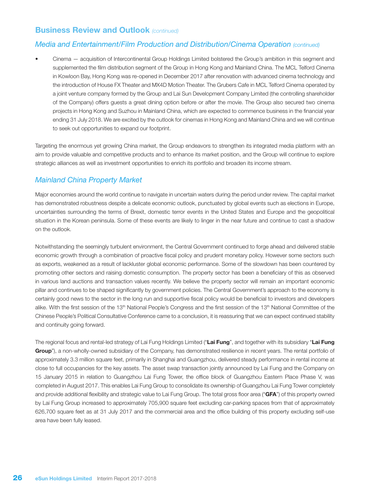### Business Review and Outlook *(continued)*

#### *Media and Entertainment/Film Production and Distribution/Cinema Operation (continued)*

Cinema – acquisition of Intercontinental Group Holdings Limited bolstered the Group's ambition in this segment and supplemented the film distribution segment of the Group in Hong Kong and Mainland China. The MCL Telford Cinema in Kowloon Bay, Hong Kong was re-opened in December 2017 after renovation with advanced cinema technology and the introduction of House FX Theater and MX4D Motion Theater. The Grubers Cafe in MCL Telford Cinema operated by a joint venture company formed by the Group and Lai Sun Development Company Limited (the controlling shareholder of the Company) offers guests a great dining option before or after the movie. The Group also secured two cinema projects in Hong Kong and Suzhou in Mainland China, which are expected to commence business in the financial year ending 31 July 2018. We are excited by the outlook for cinemas in Hong Kong and Mainland China and we will continue to seek out opportunities to expand our footprint.

Targeting the enormous yet growing China market, the Group endeavors to strengthen its integrated media platform with an aim to provide valuable and competitive products and to enhance its market position, and the Group will continue to explore strategic alliances as well as investment opportunities to enrich its portfolio and broaden its income stream.

### *Mainland China Property Market*

Major economies around the world continue to navigate in uncertain waters during the period under review. The capital market has demonstrated robustness despite a delicate economic outlook, punctuated by global events such as elections in Europe, uncertainties surrounding the terms of Brexit, domestic terror events in the United States and Europe and the geopolitical situation in the Korean peninsula. Some of these events are likely to linger in the near future and continue to cast a shadow on the outlook.

Notwithstanding the seemingly turbulent environment, the Central Government continued to forge ahead and delivered stable economic growth through a combination of proactive fiscal policy and prudent monetary policy. However some sectors such as exports, weakened as a result of lackluster global economic performance. Some of the slowdown has been countered by promoting other sectors and raising domestic consumption. The property sector has been a beneficiary of this as observed in various land auctions and transaction values recently. We believe the property sector will remain an important economic pillar and continues to be shaped significantly by government policies. The Central Government's approach to the economy is certainly good news to the sector in the long run and supportive fiscal policy would be beneficial to investors and developers alike. With the first session of the 13<sup>th</sup> National People's Congress and the first session of the 13<sup>th</sup> National Committee of the Chinese People's Political Consultative Conference came to a conclusion, it is reassuring that we can expect continued stability and continuity going forward.

The regional focus and rental-led strategy of Lai Fung Holdings Limited ("Lai Fung", and together with its subsidiary "Lai Fung Group"), a non-wholly-owned subsidiary of the Company, has demonstrated resilience in recent years. The rental portfolio of approximately 3.3 million square feet, primarily in Shanghai and Guangzhou, delivered steady performance in rental income at close to full occupancies for the key assets. The asset swap transaction jointly announced by Lai Fung and the Company on 15 January 2015 in relation to Guangzhou Lai Fung Tower, the office block of Guangzhou Eastern Place Phase V, was completed in August 2017. This enables Lai Fung Group to consolidate its ownership of Guangzhou Lai Fung Tower completely and provide additional flexibility and strategic value to Lai Fung Group. The total gross floor area ("GFA") of this property owned by Lai Fung Group increased to approximately 705,900 square feet excluding car-parking spaces from that of approximately 626,700 square feet as at 31 July 2017 and the commercial area and the office building of this property excluding self-use area have been fully leased.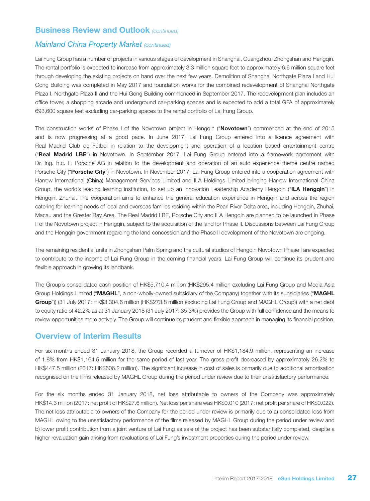### Business Review and Outlook *(continued)*

#### *Mainland China Property Market (continued)*

Lai Fung Group has a number of projects in various stages of development in Shanghai, Guangzhou, Zhongshan and Hengqin. The rental portfolio is expected to increase from approximately 3.3 million square feet to approximately 6.6 million square feet through developing the existing projects on hand over the next few years. Demolition of Shanghai Northgate Plaza I and Hui Gong Building was completed in May 2017 and foundation works for the combined redevelopment of Shanghai Northgate Plaza I, Northgate Plaza II and the Hui Gong Building commenced in September 2017. The redevelopment plan includes an office tower, a shopping arcade and underground car-parking spaces and is expected to add a total GFA of approximately 693,600 square feet excluding car-parking spaces to the rental portfolio of Lai Fung Group.

The construction works of Phase I of the Novotown project in Hengqin ("Novotown") commenced at the end of 2015 and is now progressing at a good pace. In June 2017, Lai Fung Group entered into a licence agreement with Real Madrid Club de Fútbol in relation to the development and operation of a location based entertainment centre ("Real Madrid LBE") in Novotown. In September 2017, Lai Fung Group entered into a framework agreement with Dr. Ing. h.c. F. Porsche AG in relation to the development and operation of an auto experience theme centre named Porsche City ("Porsche City") in Novotown. In November 2017, Lai Fung Group entered into a cooperation agreement with Harrow International (China) Management Services Limited and ILA Holdings Limited bringing Harrow International China Group, the world's leading learning institution, to set up an Innovation Leadership Academy Hengqin ("ILA Hengqin") in Hengqin, Zhuhai. The cooperation aims to enhance the general education experience in Hengqin and across the region catering for learning needs of local and overseas families residing within the Pearl River Delta area, including Hengqin, Zhuhai, Macau and the Greater Bay Area. The Real Madrid LBE, Porsche City and ILA Hengqin are planned to be launched in Phase II of the Novotown project in Hengqin, subject to the acquisition of the land for Phase II. Discussions between Lai Fung Group and the Hengqin government regarding the land concession and the Phase II development of the Novotown are ongoing.

The remaining residential units in Zhongshan Palm Spring and the cultural studios of Hengqin Novotown Phase I are expected to contribute to the income of Lai Fung Group in the coming financial years. Lai Fung Group will continue its prudent and flexible approach in growing its landbank.

The Group's consolidated cash position of HK\$5,710.4 million (HK\$295.4 million excluding Lai Fung Group and Media Asia Group Holdings Limited ("MAGHL", a non-wholly-owned subsidiary of the Company) together with its subsidiaries ("MAGHL Group")) (31 July 2017: HK\$3,304.6 million (HK\$273.8 million excluding Lai Fung Group and MAGHL Group)) with a net debt to equity ratio of 42.2% as at 31 January 2018 (31 July 2017: 35.3%) provides the Group with full confidence and the means to review opportunities more actively. The Group will continue its prudent and flexible approach in managing its financial position.

#### Overview of Interim Results

For six months ended 31 January 2018, the Group recorded a turnover of HK\$1,184.9 million, representing an increase of 1.8% from HK\$1,164.5 million for the same period of last year. The gross profit decreased by approximately 26.2% to HK\$447.5 million (2017: HK\$606.2 million). The significant increase in cost of sales is primarily due to additional amortisation recognised on the films released by MAGHL Group during the period under review due to their unsatisfactory performance.

For the six months ended 31 January 2018, net loss attributable to owners of the Company was approximately HK\$14.3 million (2017: net profit of HK\$27.6 million). Net loss per share was HK\$0.010 (2017: net profit per share of HK\$0.022). The net loss attributable to owners of the Company for the period under review is primarily due to a) consolidated loss from MAGHL owing to the unsatisfactory performance of the films released by MAGHL Group during the period under review and b) lower profit contribution from a joint venture of Lai Fung as sale of the project has been substantially completed, despite a higher revaluation gain arising from revaluations of Lai Fung's investment properties during the period under review.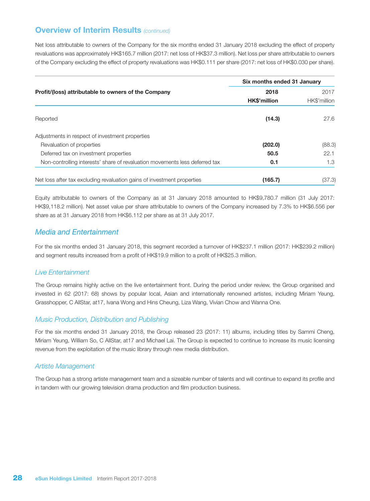Net loss attributable to owners of the Company for the six months ended 31 January 2018 excluding the effect of property revaluations was approximately HK\$165.7 million (2017: net loss of HK\$37.3 million). Net loss per share attributable to owners of the Company excluding the effect of property revaluations was HK\$0.111 per share (2017: net loss of HK\$0.030 per share).

|                                                                             | Six months ended 31 January |              |  |
|-----------------------------------------------------------------------------|-----------------------------|--------------|--|
| Profit/(loss) attributable to owners of the Company                         | 2018                        | 2017         |  |
|                                                                             | HK\$'million                | HK\$'million |  |
| Reported                                                                    | (14.3)                      | 27.6         |  |
| Adjustments in respect of investment properties                             |                             |              |  |
| Revaluation of properties                                                   | (202.0)                     | (88.3)       |  |
| Deferred tax on investment properties                                       | 50.5                        | 22.1         |  |
| Non-controlling interests' share of revaluation movements less deferred tax | 0.1                         | 1.3          |  |
| Net loss after tax excluding revaluation gains of investment properties     | (165.7)                     | (37.3)       |  |

Equity attributable to owners of the Company as at 31 January 2018 amounted to HK\$9,780.7 million (31 July 2017: HK\$9,118.2 million). Net asset value per share attributable to owners of the Company increased by 7.3% to HK\$6.556 per share as at 31 January 2018 from HK\$6.112 per share as at 31 July 2017.

#### *Media and Entertainment*

For the six months ended 31 January 2018, this segment recorded a turnover of HK\$237.1 million (2017: HK\$239.2 million) and segment results increased from a profit of HK\$19.9 million to a profit of HK\$25.3 million.

#### *Live Entertainment*

The Group remains highly active on the live entertainment front. During the period under review, the Group organised and invested in 62 (2017: 68) shows by popular local, Asian and internationally renowned artistes, including Miriam Yeung, Grasshopper, C AllStar, at17, Ivana Wong and Hins Cheung, Liza Wang, Vivian Chow and Wanna One.

#### *Music Production, Distribution and Publishing*

For the six months ended 31 January 2018, the Group released 23 (2017: 11) albums, including titles by Sammi Cheng, Miriam Yeung, William So, C AllStar, at17 and Michael Lai. The Group is expected to continue to increase its music licensing revenue from the exploitation of the music library through new media distribution.

#### *Artiste Management*

The Group has a strong artiste management team and a sizeable number of talents and will continue to expand its profile and in tandem with our growing television drama production and film production business.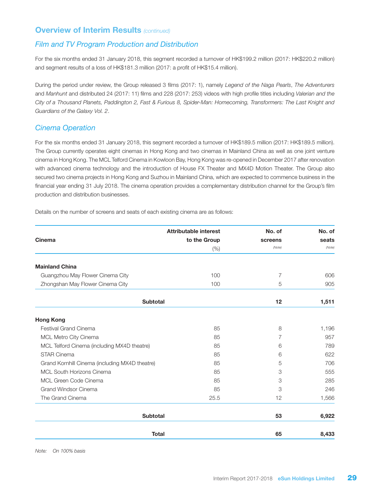### *Film and TV Program Production and Distribution*

For the six months ended 31 January 2018, this segment recorded a turnover of HK\$199.2 million (2017: HK\$220.2 million) and segment results of a loss of HK\$181.3 million (2017: a profit of HK\$15.4 million).

During the period under review, the Group released 3 films (2017: 1), namely *Legend of the Naga Pearls*, *The Adventurers* and *Manhunt* and distributed 24 (2017: 11) films and 228 (2017: 253) videos with high profile titles including *Valerian and the City of a Thousand Planets, Paddington 2, Fast & Furious 8, Spider-Man: Homecoming, Transformers: The Last Knight and Guardians of the Galaxy Vol. 2*.

### *Cinema Operation*

For the six months ended 31 January 2018, this segment recorded a turnover of HK\$189.5 million (2017: HK\$189.5 million). The Group currently operates eight cinemas in Hong Kong and two cinemas in Mainland China as well as one joint venture cinema in Hong Kong. The MCL Telford Cinema in Kowloon Bay, Hong Kong was re-opened in December 2017 after renovation with advanced cinema technology and the introduction of House FX Theater and MX4D Motion Theater. The Group also secured two cinema projects in Hong Kong and Suzhou in Mainland China, which are expected to commence business in the financial year ending 31 July 2018. The cinema operation provides a complementary distribution channel for the Group's film production and distribution businesses.

Details on the number of screens and seats of each existing cinema are as follows:

|                                                | <b>Attributable interest</b> | No. of  | No. of |
|------------------------------------------------|------------------------------|---------|--------|
| <b>Cinema</b>                                  | to the Group                 | screens | seats  |
|                                                | (% )                         | (Note)  | (Note) |
| <b>Mainland China</b>                          |                              |         |        |
| Guangzhou May Flower Cinema City               | 100                          | 7       | 606    |
| Zhongshan May Flower Cinema City               | 100                          | 5       | 905    |
| <b>Subtotal</b>                                |                              | 12      | 1,511  |
| <b>Hong Kong</b>                               |                              |         |        |
| <b>Festival Grand Cinema</b>                   | 85                           | 8       | 1,196  |
| MCL Metro City Cinema                          | 85                           | 7       | 957    |
| MCL Telford Cinema (including MX4D theatre)    | 85                           | 6       | 789    |
| <b>STAR Cinema</b>                             | 85                           | 6       | 622    |
| Grand Kornhill Cinema (including MX4D theatre) | 85                           | 5       | 706    |
| <b>MCL South Horizons Cinema</b>               | 85                           | 3       | 555    |
| MCL Green Code Cinema                          | 85                           | 3       | 285    |
| Grand Windsor Cinema                           | 85                           | 3       | 246    |
| The Grand Cinema                               | 25.5                         | 12      | 1,566  |
| <b>Subtotal</b>                                |                              | 53      | 6,922  |
|                                                | <b>Total</b>                 | 65      | 8,433  |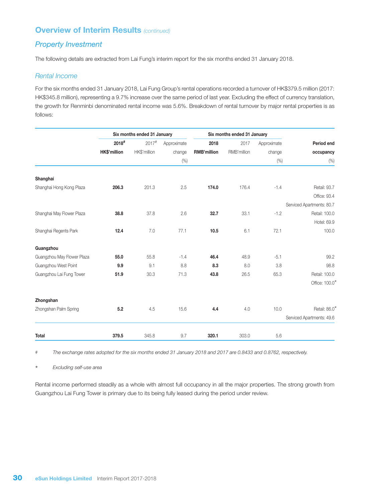### *Property Investment*

The following details are extracted from Lai Fung's interim report for the six months ended 31 January 2018.

#### *Rental Income*

For the six months ended 31 January 2018, Lai Fung Group's rental operations recorded a turnover of HK\$379.5 million (2017: HK\$345.8 million), representing a 9.7% increase over the same period of last year. Excluding the effect of currency translation, the growth for Renminbi denominated rental income was 5.6%. Breakdown of rental turnover by major rental properties is as follows:

|                            | Six months ended 31 January |                     |             | Six months ended 31 January |             |             |                           |
|----------------------------|-----------------------------|---------------------|-------------|-----------------------------|-------------|-------------|---------------------------|
|                            | $2018$ #                    | $2017$ <sup>#</sup> | Approximate | 2018                        | 2017        | Approximate | Period end                |
|                            | HK\$'million                | HK\$'million        | change      | <b>RMB'million</b>          | RMB'million | change      | occupancy                 |
|                            |                             |                     | (% )        |                             |             | (% )        | (% )                      |
| Shanghai                   |                             |                     |             |                             |             |             |                           |
| Shanghai Hong Kong Plaza   | 206.3                       | 201.3               | 2.5         | 174.0                       | 176.4       | $-1.4$      | Retail: 93.7              |
|                            |                             |                     |             |                             |             |             | Office: 93.4              |
|                            |                             |                     |             |                             |             |             | Serviced Apartments: 80.7 |
| Shanghai May Flower Plaza  | 38.8                        | 37.8                | 2.6         | 32.7                        | 33.1        | $-1.2$      | Retail: 100.0             |
|                            |                             |                     |             |                             |             |             | Hotel: 69.9               |
| Shanghai Regents Park      | 12.4                        | 7.0                 | 77.1        | 10.5                        | 6.1         | 72.1        | 100.0                     |
| Guangzhou                  |                             |                     |             |                             |             |             |                           |
| Guangzhou May Flower Plaza | 55.0                        | 55.8                | $-1.4$      | 46.4                        | 48.9        | $-5.1$      | 99.2                      |
| Guangzhou West Point       | 9.9                         | 9.1                 | 8.8         | 8.3                         | 8.0         | 3.8         | 98.8                      |
| Guangzhou Lai Fung Tower   | 51.9                        | 30.3                | 71.3        | 43.8                        | 26.5        | 65.3        | Retail: 100.0             |
|                            |                             |                     |             |                             |             |             | Office: 100.0*            |
| Zhongshan                  |                             |                     |             |                             |             |             |                           |
| Zhongshan Palm Spring      | 5.2                         | 4.5                 | 15.6        | 4.4                         | 4.0         | 10.0        | Retail: 86.0              |
|                            |                             |                     |             |                             |             |             | Serviced Apartments: 49.6 |
| <b>Total</b>               | 379.5                       | 345.8               | 9.7         | 320.1                       | 303.0       | 5.6         |                           |

# *The exchange rates adopted for the six months ended 31 January 2018 and 2017 are 0.8433 and 0.8762, respectively.*

\* *Excluding self-use area*

Rental income performed steadily as a whole with almost full occupancy in all the major properties. The strong growth from Guangzhou Lai Fung Tower is primary due to its being fully leased during the period under review.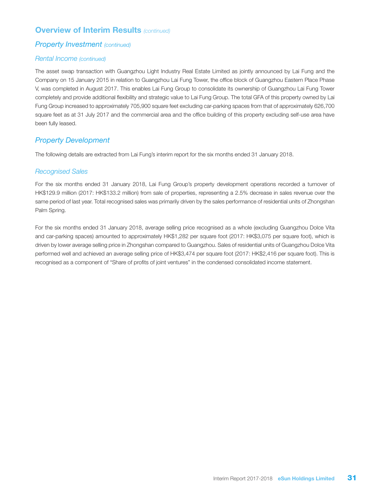### *Property Investment (continued)*

#### *Rental Income (continued)*

The asset swap transaction with Guangzhou Light Industry Real Estate Limited as jointly announced by Lai Fung and the Company on 15 January 2015 in relation to Guangzhou Lai Fung Tower, the office block of Guangzhou Eastern Place Phase V, was completed in August 2017. This enables Lai Fung Group to consolidate its ownership of Guangzhou Lai Fung Tower completely and provide additional flexibility and strategic value to Lai Fung Group. The total GFA of this property owned by Lai Fung Group increased to approximately 705,900 square feet excluding car-parking spaces from that of approximately 626,700 square feet as at 31 July 2017 and the commercial area and the office building of this property excluding self-use area have been fully leased.

### *Property Development*

The following details are extracted from Lai Fung's interim report for the six months ended 31 January 2018.

#### *Recognised Sales*

For the six months ended 31 January 2018, Lai Fung Group's property development operations recorded a turnover of HK\$129.9 million (2017: HK\$133.2 million) from sale of properties, representing a 2.5% decrease in sales revenue over the same period of last year. Total recognised sales was primarily driven by the sales performance of residential units of Zhongshan Palm Spring.

For the six months ended 31 January 2018, average selling price recognised as a whole (excluding Guangzhou Dolce Vita and car-parking spaces) amounted to approximately HK\$1,282 per square foot (2017: HK\$3,075 per square foot), which is driven by lower average selling price in Zhongshan compared to Guangzhou. Sales of residential units of Guangzhou Dolce Vita performed well and achieved an average selling price of HK\$3,474 per square foot (2017: HK\$2,416 per square foot). This is recognised as a component of "Share of profits of joint ventures" in the condensed consolidated income statement.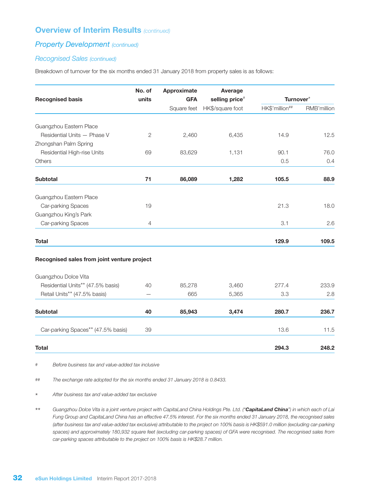### *Property Development (continued)*

#### *Recognised Sales (continued)*

Breakdown of turnover for the six months ended 31 January 2018 from property sales is as follows:

|                                             | No. of       | Approximate | Average          |                |             |
|---------------------------------------------|--------------|-------------|------------------|----------------|-------------|
| <b>Recognised basis</b>                     | units        | <b>GFA</b>  | selling price#   | Turnover*      |             |
|                                             |              | Square feet | HK\$/square foot | HK\$'million## | RMB'million |
| Guangzhou Eastern Place                     |              |             |                  |                |             |
| Residential Units - Phase V                 | $\mathbf{2}$ | 2,460       | 6,435            | 14.9           | 12.5        |
| Zhongshan Palm Spring                       |              |             |                  |                |             |
| Residential High-rise Units                 | 69           | 83,629      | 1,131            | 90.1           | 76.0        |
| <b>Others</b>                               |              |             |                  | 0.5            | 0.4         |
| <b>Subtotal</b>                             | 71           | 86,089      | 1,282            | 105.5          | 88.9        |
| Guangzhou Eastern Place                     |              |             |                  |                |             |
| Car-parking Spaces                          | 19           |             |                  | 21.3           | 18.0        |
| Guangzhou King's Park                       |              |             |                  |                |             |
| Car-parking Spaces                          | 4            |             |                  | 3.1            | 2.6         |
| <b>Total</b>                                |              |             |                  | 129.9          | 109.5       |
| Recognised sales from joint venture project |              |             |                  |                |             |
| Guangzhou Dolce Vita                        |              |             |                  |                |             |
| Residential Units** (47.5% basis)           | 40           | 85,278      | 3,460            | 277.4          | 233.9       |
| Retail Units** (47.5% basis)                |              | 665         | 5,365            | 3.3            | 2.8         |
| <b>Subtotal</b>                             | 40           | 85,943      | 3,474            | 280.7          | 236.7       |
| Car-parking Spaces** (47.5% basis)          | 39           |             |                  | 13.6           | 11.5        |
| <b>Total</b>                                |              |             |                  | 294.3          | 248.2       |

# *Before business tax and value-added tax inclusive*

## *The exchange rate adopted for the six months ended 31 January 2018 is 0.8433.*

\* *After business tax and value-added tax exclusive*

\*\* *Guangzhou Dolce Vita is a joint venture project with CapitaLand China Holdings Pte. Ltd. ("CapitaLand China") in which each of Lai Fung Group and CapitaLand China has an effective 47.5% interest. For the six months ended 31 January 2018, the recognised sales (after business tax and value-added tax exclusive) attributable to the project on 100% basis is HK\$591.0 million (excluding car-parking spaces) and approximately 180,932 square feet (excluding car-parking spaces) of GFA were recognised. The recognised sales from car-parking spaces attributable to the project on 100% basis is HK\$28.7 million.*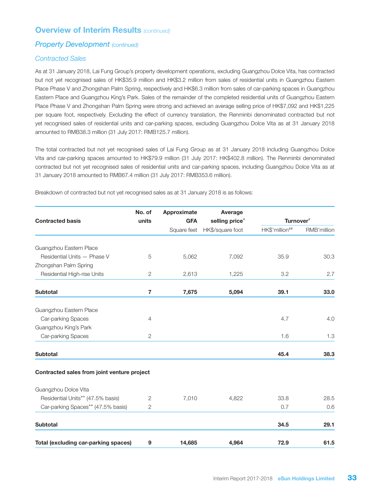### *Property Development (continued)*

#### *Contracted Sales*

As at 31 January 2018, Lai Fung Group's property development operations, excluding Guangzhou Dolce Vita, has contracted but not yet recognised sales of HK\$35.9 million and HK\$3.2 million from sales of residential units in Guangzhou Eastern Place Phase V and Zhongshan Palm Spring, respectively and HK\$6.3 million from sales of car-parking spaces in Guangzhou Eastern Place and Guangzhou King's Park. Sales of the remainder of the completed residential units of Guangzhou Eastern Place Phase V and Zhongshan Palm Spring were strong and achieved an average selling price of HK\$7,092 and HK\$1,225 per square foot, respectively. Excluding the effect of currency translation, the Renminbi denominated contracted but not yet recognised sales of residential units and car-parking spaces, excluding Guangzhou Dolce Vita as at 31 January 2018 amounted to RMB38.3 million (31 July 2017: RMB125.7 million).

The total contracted but not yet recognised sales of Lai Fung Group as at 31 January 2018 including Guangzhou Dolce Vita and car-parking spaces amounted to HK\$79.9 million (31 July 2017: HK\$402.8 million). The Renminbi denominated contracted but not yet recognised sales of residential units and car-parking spaces, including Guangzhou Dolce Vita as at 31 January 2018 amounted to RMB67.4 million (31 July 2017: RMB353.6 million).

|                                             | No. of<br>Approximate<br>units<br><b>GFA</b> | Average     | Turnover <sup>#</sup> |                |             |
|---------------------------------------------|----------------------------------------------|-------------|-----------------------|----------------|-------------|
| <b>Contracted basis</b>                     |                                              |             | selling price#        |                |             |
|                                             |                                              | Square feet | HK\$/square foot      | HK\$'million## | RMB'million |
| Guangzhou Eastern Place                     |                                              |             |                       |                |             |
| Residential Units - Phase V                 | 5                                            | 5,062       | 7,092                 | 35.9           | 30.3        |
| Zhongshan Palm Spring                       |                                              |             |                       |                |             |
| Residential High-rise Units                 | $\sqrt{2}$                                   | 2,613       | 1,225                 | 3.2            | 2.7         |
| <b>Subtotal</b>                             | 7                                            | 7,675       | 5,094                 | 39.1           | 33.0        |
| Guangzhou Eastern Place                     |                                              |             |                       |                |             |
| Car-parking Spaces                          | 4                                            |             |                       | 4.7            | 4.0         |
| Guangzhou King's Park                       |                                              |             |                       |                |             |
| Car-parking Spaces                          | $\mathbf{2}$                                 |             |                       | 1.6            | 1.3         |
| <b>Subtotal</b>                             |                                              |             |                       | 45.4           | 38.3        |
| Contracted sales from joint venture project |                                              |             |                       |                |             |
| Guangzhou Dolce Vita                        |                                              |             |                       |                |             |
| Residential Units** (47.5% basis)           | $\mathbf{2}$                                 | 7,010       | 4,822                 | 33.8           | 28.5        |
| Car-parking Spaces** (47.5% basis)          | 2                                            |             |                       | 0.7            | 0.6         |
| <b>Subtotal</b>                             |                                              |             |                       | 34.5           | 29.1        |
| <b>Total (excluding car-parking spaces)</b> | 9                                            | 14,685      | 4,964                 | 72.9           | 61.5        |

Breakdown of contracted but not yet recognised sales as at 31 January 2018 is as follows: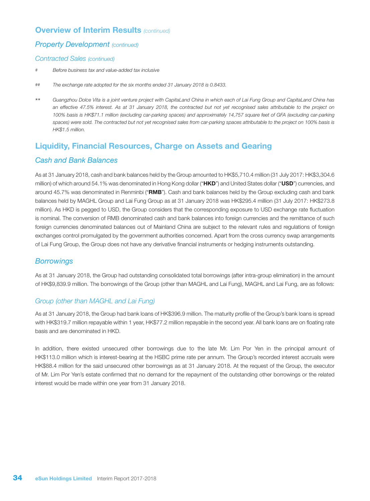#### *Property Development (continued)*

#### *Contracted Sales (continued)*

- # *Before business tax and value-added tax inclusive*
- ## *The exchange rate adopted for the six months ended 31 January 2018 is 0.8433.*
- \*\* *Guangzhou Dolce Vita is a joint venture project with CapitaLand China in which each of Lai Fung Group and CapitaLand China has an effective 47.5% interest. As at 31 January 2018, the contracted but not yet recognised sales attributable to the project on 100% basis is HK\$71.1 million (excluding car-parking spaces) and approximately 14,757 square feet of GFA (excluding car-parking*  spaces) were sold. The contracted but not yet recognised sales from car-parking spaces attributable to the project on 100% basis is *HK\$1.5 million.*

### Liquidity, Financial Resources, Charge on Assets and Gearing

### *Cash and Bank Balances*

As at 31 January 2018, cash and bank balances held by the Group amounted to HK\$5,710.4 million (31 July 2017: HK\$3,304.6 million) of which around 54.1% was denominated in Hong Kong dollar ("HKD") and United States dollar ("USD") currencies, and around 45.7% was denominated in Renminbi ("RMB"). Cash and bank balances held by the Group excluding cash and bank balances held by MAGHL Group and Lai Fung Group as at 31 January 2018 was HK\$295.4 million (31 July 2017: HK\$273.8 million). As HKD is pegged to USD, the Group considers that the corresponding exposure to USD exchange rate fluctuation is nominal. The conversion of RMB denominated cash and bank balances into foreign currencies and the remittance of such foreign currencies denominated balances out of Mainland China are subject to the relevant rules and regulations of foreign exchanges control promulgated by the government authorities concerned. Apart from the cross currency swap arrangements of Lai Fung Group, the Group does not have any derivative financial instruments or hedging instruments outstanding.

### *Borrowings*

As at 31 January 2018, the Group had outstanding consolidated total borrowings (after intra-group elimination) in the amount of HK\$9,839.9 million. The borrowings of the Group (other than MAGHL and Lai Fung), MAGHL and Lai Fung, are as follows:

#### *Group (other than MAGHL and Lai Fung)*

As at 31 January 2018, the Group had bank loans of HK\$396.9 million. The maturity profile of the Group's bank loans is spread with HK\$319.7 million repayable within 1 year, HK\$77.2 million repayable in the second year. All bank loans are on floating rate basis and are denominated in HKD.

In addition, there existed unsecured other borrowings due to the late Mr. Lim Por Yen in the principal amount of HK\$113.0 million which is interest-bearing at the HSBC prime rate per annum. The Group's recorded interest accruals were HK\$88.4 million for the said unsecured other borrowings as at 31 January 2018. At the request of the Group, the executor of Mr. Lim Por Yen's estate confirmed that no demand for the repayment of the outstanding other borrowings or the related interest would be made within one year from 31 January 2018.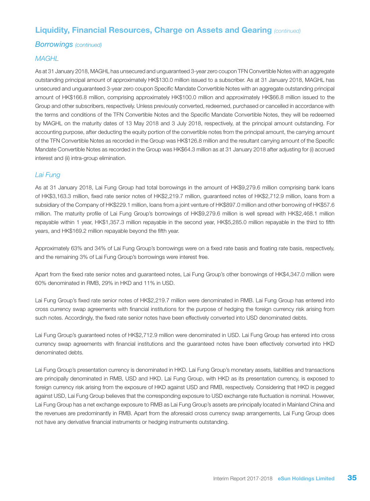### Liquidity, Financial Resources, Charge on Assets and Gearing *(continued)*

#### *Borrowings (continued)*

#### *MAGHL*

As at 31 January 2018, MAGHL has unsecured and unguaranteed 3-year zero coupon TFN Convertible Notes with an aggregate outstanding principal amount of approximately HK\$130.0 million issued to a subscriber. As at 31 January 2018, MAGHL has unsecured and unguaranteed 3-year zero coupon Specific Mandate Convertible Notes with an aggregate outstanding principal amount of HK\$166.8 million, comprising approximately HK\$100.0 million and approximately HK\$66.8 million issued to the Group and other subscribers, respectively. Unless previously converted, redeemed, purchased or cancelled in accordance with the terms and conditions of the TFN Convertible Notes and the Specific Mandate Convertible Notes, they will be redeemed by MAGHL on the maturity dates of 13 May 2018 and 3 July 2018, respectively, at the principal amount outstanding. For accounting purpose, after deducting the equity portion of the convertible notes from the principal amount, the carrying amount of the TFN Convertible Notes as recorded in the Group was HK\$126.8 million and the resultant carrying amount of the Specific Mandate Convertible Notes as recorded in the Group was HK\$64.3 million as at 31 January 2018 after adjusting for (i) accrued interest and (ii) intra-group elimination.

#### *Lai Fung*

As at 31 January 2018, Lai Fung Group had total borrowings in the amount of HK\$9,279.6 million comprising bank loans of HK\$3,163.3 million, fixed rate senior notes of HK\$2,219.7 million, guaranteed notes of HK\$2,712.9 million, loans from a subsidiary of the Company of HK\$229.1 million, loans from a joint venture of HK\$897.0 million and other borrowing of HK\$57.6 million. The maturity profile of Lai Fung Group's borrowings of HK\$9,279.6 million is well spread with HK\$2,468.1 million repayable within 1 year, HK\$1,357.3 million repayable in the second year, HK\$5,285.0 million repayable in the third to fifth years, and HK\$169.2 million repayable beyond the fifth year.

Approximately 63% and 34% of Lai Fung Group's borrowings were on a fixed rate basis and floating rate basis, respectively, and the remaining 3% of Lai Fung Group's borrowings were interest free.

Apart from the fixed rate senior notes and guaranteed notes, Lai Fung Group's other borrowings of HK\$4,347.0 million were 60% denominated in RMB, 29% in HKD and 11% in USD.

Lai Fung Group's fixed rate senior notes of HK\$2,219.7 million were denominated in RMB. Lai Fung Group has entered into cross currency swap agreements with financial institutions for the purpose of hedging the foreign currency risk arising from such notes. Accordingly, the fixed rate senior notes have been effectively converted into USD denominated debts.

Lai Fung Group's guaranteed notes of HK\$2,712.9 million were denominated in USD. Lai Fung Group has entered into cross currency swap agreements with financial institutions and the guaranteed notes have been effectively converted into HKD denominated debts.

Lai Fung Group's presentation currency is denominated in HKD. Lai Fung Group's monetary assets, liabilities and transactions are principally denominated in RMB, USD and HKD. Lai Fung Group, with HKD as its presentation currency, is exposed to foreign currency risk arising from the exposure of HKD against USD and RMB, respectively. Considering that HKD is pegged against USD, Lai Fung Group believes that the corresponding exposure to USD exchange rate fluctuation is nominal. However, Lai Fung Group has a net exchange exposure to RMB as Lai Fung Group's assets are principally located in Mainland China and the revenues are predominantly in RMB. Apart from the aforesaid cross currency swap arrangements, Lai Fung Group does not have any derivative financial instruments or hedging instruments outstanding.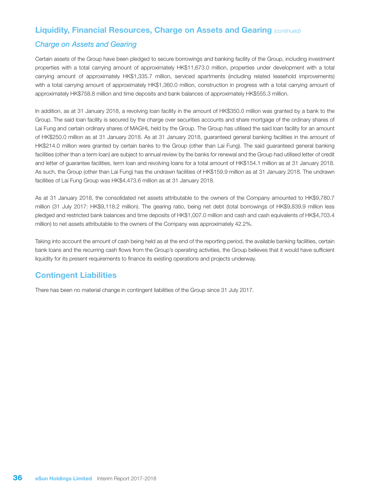#### Liquidity, Financial Resources, Charge on Assets and Gearing *(continued)*

#### *Charge on Assets and Gearing*

Certain assets of the Group have been pledged to secure borrowings and banking facility of the Group, including investment properties with a total carrying amount of approximately HK\$11,673.0 million, properties under development with a total carrying amount of approximately HK\$1,335.7 million, serviced apartments (including related leasehold improvements) with a total carrying amount of approximately HK\$1,360.0 million, construction in progress with a total carrying amount of approximately HK\$758.8 million and time deposits and bank balances of approximately HK\$555.3 million.

In addition, as at 31 January 2018, a revolving loan facility in the amount of HK\$350.0 million was granted by a bank to the Group. The said loan facility is secured by the charge over securities accounts and share mortgage of the ordinary shares of Lai Fung and certain ordinary shares of MAGHL held by the Group. The Group has utilised the said loan facility for an amount of HK\$250.0 million as at 31 January 2018. As at 31 January 2018, guaranteed general banking facilities in the amount of HK\$214.0 million were granted by certain banks to the Group (other than Lai Fung). The said guaranteed general banking facilities (other than a term loan) are subject to annual review by the banks for renewal and the Group had utilised letter of credit and letter of guarantee facilities, term loan and revolving loans for a total amount of HK\$154.1 million as at 31 January 2018. As such, the Group (other than Lai Fung) has the undrawn facilities of HK\$159.9 million as at 31 January 2018. The undrawn facilities of Lai Fung Group was HK\$4,473.6 million as at 31 January 2018.

As at 31 January 2018, the consolidated net assets attributable to the owners of the Company amounted to HK\$9,780.7 million (31 July 2017: HK\$9,118.2 million). The gearing ratio, being net debt (total borrowings of HK\$9,839.9 million less pledged and restricted bank balances and time deposits of HK\$1,007.0 million and cash and cash equivalents of HK\$4,703.4 million) to net assets attributable to the owners of the Company was approximately 42.2%.

Taking into account the amount of cash being held as at the end of the reporting period, the available banking facilities, certain bank loans and the recurring cash flows from the Group's operating activities, the Group believes that it would have sufficient liquidity for its present requirements to finance its existing operations and projects underway.

### Contingent Liabilities

There has been no material change in contingent liabilities of the Group since 31 July 2017.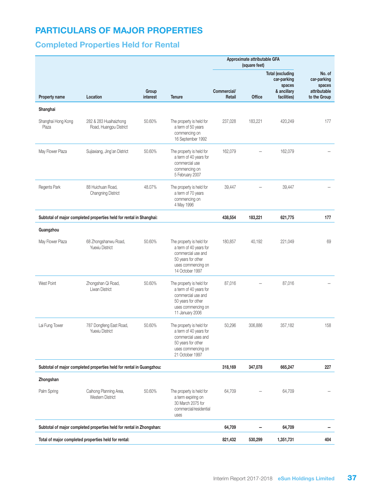# PARTICULARS OF MAJOR PROPERTIES

# Completed Properties Held for Rental

|                             |                                                                      |                   |                                                                                                                                          | Approximate attributable GFA<br>(square feet) |         |                                                  |                                 |
|-----------------------------|----------------------------------------------------------------------|-------------------|------------------------------------------------------------------------------------------------------------------------------------------|-----------------------------------------------|---------|--------------------------------------------------|---------------------------------|
|                             |                                                                      |                   |                                                                                                                                          |                                               |         | <b>Total (excluding</b><br>car-parking<br>spaces | No. of<br>car-parking<br>spaces |
| <b>Property name</b>        | Location                                                             | Group<br>interest | <b>Tenure</b>                                                                                                                            | Commercial/<br>Retail                         | Office  | & ancillary<br>facilities)                       | attributable<br>to the Group    |
| Shanghai                    |                                                                      |                   |                                                                                                                                          |                                               |         |                                                  |                                 |
| Shanghai Hong Kong<br>Plaza | 282 & 283 Huaihaizhong<br>Road, Huangpu District                     | 50.60%            | The property is held for<br>a term of 50 years<br>commencing on<br>16 September 1992                                                     | 237,028                                       | 183,221 | 420,249                                          | 177                             |
| May Flower Plaza            | Sujiaxiang, Jing'an District                                         | 50.60%            | The property is held for<br>a term of 40 years for<br>commercial use<br>commencing on<br>5 February 2007                                 | 162,079                                       |         | 162,079                                          |                                 |
| Regents Park                | 88 Huichuan Road,<br><b>Changning District</b>                       | 48.07%            | The property is held for<br>a term of 70 years<br>commencing on<br>4 May 1996                                                            | 39,447                                        |         | 39,447                                           |                                 |
|                             | Subtotal of major completed properties held for rental in Shanghai:  |                   |                                                                                                                                          | 438,554                                       | 183,221 | 621,775                                          | 177                             |
| Guangzhou                   |                                                                      |                   |                                                                                                                                          |                                               |         |                                                  |                                 |
| May Flower Plaza            | 68 Zhongshanwu Road,<br><b>Yuexiu District</b>                       | 50.60%            | The property is held for<br>a term of 40 years for<br>commercial use and<br>50 years for other<br>uses commencing on<br>14 October 1997  | 180,857                                       | 40,192  | 221,049                                          | 69                              |
| West Point                  | Zhongshan Qi Road,<br>Liwan District                                 | 50.60%            | The property is held for<br>a term of 40 years for<br>commercial use and<br>50 years for other<br>uses commencing on<br>11 January 2006  | 87,016                                        |         | 87,016                                           |                                 |
| Lai Fung Tower              | 787 Dongfeng East Road,<br>Yuexiu District                           | 50.60%            | The property is held for<br>a term of 40 years for<br>commercial uses and<br>50 years for other<br>uses commencing on<br>21 October 1997 | 50,296                                        | 306,886 | 357,182                                          | 158                             |
|                             | Subtotal of major completed properties held for rental in Guangzhou: |                   |                                                                                                                                          | 318,169                                       | 347,078 | 665,247                                          | 227                             |
| Zhongshan                   |                                                                      |                   |                                                                                                                                          |                                               |         |                                                  |                                 |
| Palm Spring                 | Caihong Planning Area,<br>Western District                           | 50.60%            | The property is held for<br>a term expiring on<br>30 March 2075 for<br>commercial/residential<br>uses                                    | 64,709                                        |         | 64,709                                           |                                 |
|                             | Subtotal of major completed properties held for rental in Zhongshan: |                   |                                                                                                                                          | 64,709                                        |         | 64,709                                           |                                 |
|                             | Total of major completed properties held for rental:                 |                   |                                                                                                                                          | 821,432                                       | 530,299 | 1,351,731                                        | 404                             |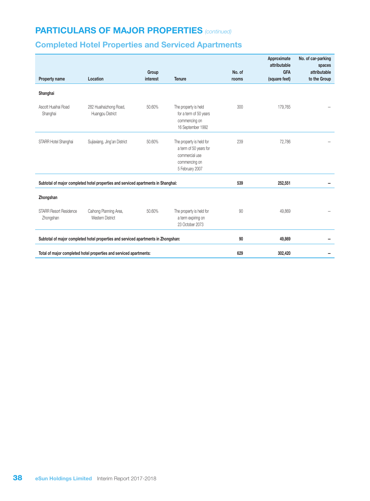# PARTICULARS OF MAJOR PROPERTIES *(continued)*

# Completed Hotel Properties and Serviced Apartments

|                                                                                    |                                                                                   | Group    |                                                                                                          | No. of | Approximate<br>attributable<br><b>GFA</b> | No. of car-parking<br>spaces<br>attributable |
|------------------------------------------------------------------------------------|-----------------------------------------------------------------------------------|----------|----------------------------------------------------------------------------------------------------------|--------|-------------------------------------------|----------------------------------------------|
| Property name                                                                      | Location                                                                          | interest | <b>Tenure</b>                                                                                            | rooms  | (square feet)                             | to the Group                                 |
| Shanghai                                                                           |                                                                                   |          |                                                                                                          |        |                                           |                                              |
| Ascott Huaihai Road<br>Shanghai                                                    | 282 Huaihaizhong Road,<br>Huangpu District                                        | 50.60%   | The property is held<br>for a term of 50 years<br>commencing on<br>16 September 1992                     | 300    | 179,765                                   |                                              |
| STARR Hotel Shanghai                                                               | Sujiaxiang, Jing'an District                                                      | 50.60%   | The property is held for<br>a term of 50 years for<br>commercial use<br>commencing on<br>5 February 2007 | 239    | 72,786                                    |                                              |
|                                                                                    | Subtotal of major completed hotel properties and serviced apartments in Shanghai: |          |                                                                                                          | 539    | 252,551                                   |                                              |
| Zhongshan                                                                          |                                                                                   |          |                                                                                                          |        |                                           |                                              |
| <b>STARR Resort Residence</b><br>Zhongshan                                         | Caihong Planning Area,<br><b>Western District</b>                                 | 50.60%   | The property is held for<br>a term expiring on<br>23 October 2073                                        | 90     | 49,869                                    |                                              |
| Subtotal of major completed hotel properties and serviced apartments in Zhongshan: | 90                                                                                | 49,869   |                                                                                                          |        |                                           |                                              |
|                                                                                    | Total of major completed hotel properties and serviced apartments:                | 629      | 302,420                                                                                                  |        |                                           |                                              |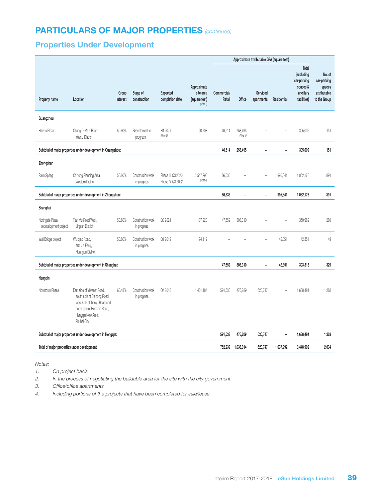# PARTICULARS OF MAJOR PROPERTIES *(continued)*

# Properties Under Development

|                                                              |                                                                                                                                                              |                   |                                  |                                         |                                                       | Approximate attributable GFA (square feet) |                     |                               |                          |                                                                                   |                                                                 |
|--------------------------------------------------------------|--------------------------------------------------------------------------------------------------------------------------------------------------------------|-------------------|----------------------------------|-----------------------------------------|-------------------------------------------------------|--------------------------------------------|---------------------|-------------------------------|--------------------------|-----------------------------------------------------------------------------------|-----------------------------------------------------------------|
| Property name                                                | Location                                                                                                                                                     | Group<br>interest | Stage of<br>construction         | <b>Expected</b><br>completion date      | Approximate<br>site area<br>(square feet)<br>(Note 1) | Commercial/<br>Retail                      | Office              | <b>Serviced</b><br>apartments | Residential              | Total<br><i>(excluding</i><br>car-parking<br>spaces &<br>ancillary<br>facilities) | No. of<br>car-parking<br>spaces<br>attributable<br>to the Group |
| Guangzhou                                                    |                                                                                                                                                              |                   |                                  |                                         |                                                       |                                            |                     |                               |                          |                                                                                   |                                                                 |
| Haizhu Plaza                                                 | Chang Di Main Road,<br>Yuexiu District                                                                                                                       | 50.60%            | Resettlement in<br>progress      | H1 2021<br>(Note 2)                     | 90,708                                                | 46,514                                     | 258,495<br>(Note 3) |                               |                          | 305,009                                                                           | 151                                                             |
|                                                              | Subtotal of major properties under development in Guangzhou:                                                                                                 |                   |                                  |                                         |                                                       | 46,514                                     | 258,495             | -                             | $\overline{\phantom{a}}$ | 305,009                                                                           | 151                                                             |
| Zhongshan                                                    |                                                                                                                                                              |                   |                                  |                                         |                                                       |                                            |                     |                               |                          |                                                                                   |                                                                 |
| Palm Spring                                                  | Caihong Planning Area,<br><b>Western District</b>                                                                                                            | 50.60%            | Construction work<br>in progress | Phase III: Q3 2020<br>Phase IV: Q3 2022 | 2,547,298<br>(Note 4)                                 | 66,535                                     |                     |                               | 995,641                  | 1,062,176                                                                         | 891                                                             |
| Subtotal of major properties under development in Zhongshan: |                                                                                                                                                              |                   |                                  |                                         | 66,535                                                | $\overline{\phantom{0}}$                   | ÷,                  | 995,641                       | 1,062,176                | 891                                                                               |                                                                 |
| Shanghai                                                     |                                                                                                                                                              |                   |                                  |                                         |                                                       |                                            |                     |                               |                          |                                                                                   |                                                                 |
| Northgate Plaza<br>redevelopment project                     | Tian Mu Road West,<br>Jing'an District                                                                                                                       | 50.60%            | Construction work<br>in progress | Q3 2021                                 | 107,223                                               | 47,652                                     | 303,310             |                               |                          | 350,962                                                                           | 280                                                             |
| Wuli Bridge project                                          | Wuliqiao Road,<br>104 Jie Fang,<br>Huanqpu District                                                                                                          | 50.60%            | Construction work<br>in progress | Q1 2019                                 | 74,112                                                |                                            |                     |                               | 42,351                   | 42,351                                                                            | 49                                                              |
|                                                              | Subtotal of major properties under development in Shanghai:                                                                                                  |                   |                                  |                                         |                                                       | 47,652                                     | 303,310             | -                             | 42,351                   | 393,313                                                                           | 329                                                             |
| Hengqin                                                      |                                                                                                                                                              |                   |                                  |                                         |                                                       |                                            |                     |                               |                          |                                                                                   |                                                                 |
| Novotown Phase                                               | East side of Yiwener Road,<br>south side of Caihong Road,<br>west side of Tianyu Road and<br>north side of Hengqin Road,<br>Hengqin New Area,<br>Zhuhai City | 60.48%            | Construction work<br>in progress | Q4 2018                                 | 1,401,184                                             | 591,538                                    | 476,209             | 620,747                       |                          | 1,688,494                                                                         | 1,263                                                           |
|                                                              | Subtotal of major properties under development in Hengqin:                                                                                                   |                   |                                  |                                         |                                                       | 591,538                                    | 476,209             | 620,747                       | -                        | 1,688,494                                                                         | 1,263                                                           |
| Total of major properties under development:                 |                                                                                                                                                              |                   |                                  |                                         |                                                       | 752,239                                    | 1,038,014           | 620,747                       | 1,037,992                | 3,448,992                                                                         | 2,634                                                           |

*Notes:*

- *1. On project basis*
- *2. In the process of negotiating the buildable area for the site with the city government*
- *3. Office/office apartments*
- *4. Including portions of the projects that have been completed for sale/lease*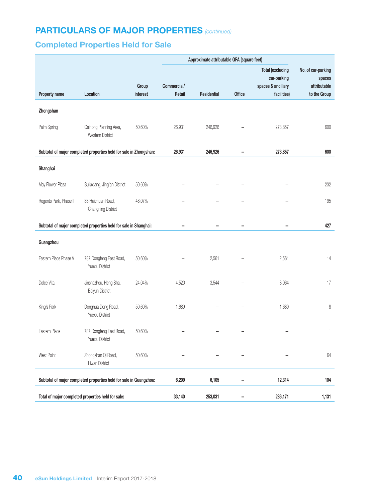# PARTICULARS OF MAJOR PROPERTIES *(continued)*

# Completed Properties Held for Sale

|                        |                                                                    |          |             | Approximate attributable GFA (square feet) |               |                                                              |                                              |
|------------------------|--------------------------------------------------------------------|----------|-------------|--------------------------------------------|---------------|--------------------------------------------------------------|----------------------------------------------|
|                        |                                                                    | Group    | Commercial/ |                                            |               | <b>Total (excluding</b><br>car-parking<br>spaces & ancillary | No. of car-parking<br>spaces<br>attributable |
| Property name          | Location                                                           | interest | Retail      | Residential                                | <b>Office</b> | facilities)                                                  | to the Group                                 |
| Zhongshan              |                                                                    |          |             |                                            |               |                                                              |                                              |
| Palm Spring            | Caihong Planning Area,<br>Western District                         | 50.60%   | 26,931      | 246,926                                    |               | 273,857                                                      | 600                                          |
|                        | Subtotal of major completed properties held for sale in Zhongshan: |          | 26,931      | 246,926                                    |               | 273,857                                                      | 600                                          |
| Shanghai               |                                                                    |          |             |                                            |               |                                                              |                                              |
| May Flower Plaza       | Sujiaxiang, Jing'an District                                       | 50.60%   |             |                                            |               |                                                              | 232                                          |
| Regents Park, Phase II | 88 Huichuan Road,<br><b>Changning District</b>                     | 48.07%   |             |                                            |               |                                                              | 195                                          |
|                        | Subtotal of major completed properties held for sale in Shanghai:  |          |             |                                            |               |                                                              | 427                                          |
| Guangzhou              |                                                                    |          |             |                                            |               |                                                              |                                              |
| Eastern Place Phase V  | 787 Dongfeng East Road,<br>Yuexiu District                         | 50.60%   |             | 2,561                                      |               | 2,561                                                        | 14                                           |
| Dolce Vita             | Jinshazhou, Heng Sha,<br>Baiyun District                           | 24.04%   | 4,520       | 3,544                                      |               | 8,064                                                        | 17                                           |
| King's Park            | Donghua Dong Road,<br>Yuexiu District                              | 50.60%   | 1,689       |                                            |               | 1,689                                                        | 8                                            |
| Eastern Place          | 787 Dongfeng East Road,<br>Yuexiu District                         | 50.60%   |             |                                            |               |                                                              | 1                                            |
| West Point             | Zhongshan Qi Road,<br>Liwan District                               | 50.60%   |             |                                            |               |                                                              | 64                                           |
|                        | Subtotal of major completed properties held for sale in Guangzhou: |          | 6,209       | 6,105                                      |               | 12,314                                                       | 104                                          |
|                        | Total of major completed properties held for sale:                 |          | 33,140      | 253,031                                    |               | 286,171                                                      | 1,131                                        |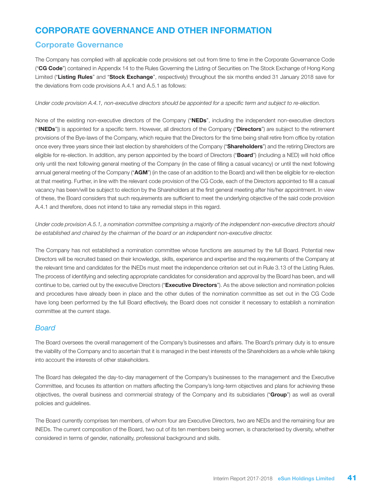# CORPORATE GOVERNANCE AND OTHER INFORMATION

### Corporate Governance

The Company has complied with all applicable code provisions set out from time to time in the Corporate Governance Code ("CG Code") contained in Appendix 14 to the Rules Governing the Listing of Securities on The Stock Exchange of Hong Kong Limited ("Listing Rules" and "Stock Exchange", respectively) throughout the six months ended 31 January 2018 save for the deviations from code provisions A.4.1 and A.5.1 as follows:

*Under code provision A.4.1, non-executive directors should be appointed for a specific term and subject to re-election.*

None of the existing non-executive directors of the Company ("NEDs", including the independent non-executive directors ("INEDs")) is appointed for a specific term. However, all directors of the Company ("Directors") are subject to the retirement provisions of the Bye-laws of the Company, which require that the Directors for the time being shall retire from office by rotation once every three years since their last election by shareholders of the Company ("Shareholders") and the retiring Directors are eligible for re-election. In addition, any person appointed by the board of Directors ("Board") (including a NED) will hold office only until the next following general meeting of the Company (in the case of filling a casual vacancy) or until the next following annual general meeting of the Company ("AGM") (in the case of an addition to the Board) and will then be eligible for re-election at that meeting. Further, in line with the relevant code provision of the CG Code, each of the Directors appointed to fill a casual vacancy has been/will be subject to election by the Shareholders at the first general meeting after his/her appointment. In view of these, the Board considers that such requirements are sufficient to meet the underlying objective of the said code provision A.4.1 and therefore, does not intend to take any remedial steps in this regard.

*Under code provision A.5.1, a nomination committee comprising a majority of the independent non-executive directors should be established and chaired by the chairman of the board or an independent non-executive director.*

The Company has not established a nomination committee whose functions are assumed by the full Board. Potential new Directors will be recruited based on their knowledge, skills, experience and expertise and the requirements of the Company at the relevant time and candidates for the INEDs must meet the independence criterion set out in Rule 3.13 of the Listing Rules. The process of identifying and selecting appropriate candidates for consideration and approval by the Board has been, and will continue to be, carried out by the executive Directors ("Executive Directors"). As the above selection and nomination policies and procedures have already been in place and the other duties of the nomination committee as set out in the CG Code have long been performed by the full Board effectively, the Board does not consider it necessary to establish a nomination committee at the current stage.

### *Board*

The Board oversees the overall management of the Company's businesses and affairs. The Board's primary duty is to ensure the viability of the Company and to ascertain that it is managed in the best interests of the Shareholders as a whole while taking into account the interests of other stakeholders.

The Board has delegated the day-to-day management of the Company's businesses to the management and the Executive Committee, and focuses its attention on matters affecting the Company's long-term objectives and plans for achieving these objectives, the overall business and commercial strategy of the Company and its subsidiaries ("Group") as well as overall policies and guidelines.

The Board currently comprises ten members, of whom four are Executive Directors, two are NEDs and the remaining four are INEDs. The current composition of the Board, two out of its ten members being women, is characterised by diversity, whether considered in terms of gender, nationality, professional background and skills.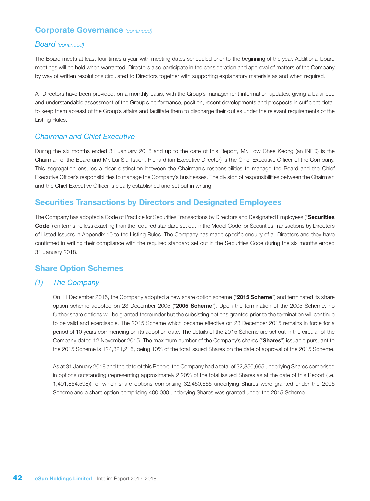### Corporate Governance *(continued)*

#### *Board (continued)*

The Board meets at least four times a year with meeting dates scheduled prior to the beginning of the year. Additional board meetings will be held when warranted. Directors also participate in the consideration and approval of matters of the Company by way of written resolutions circulated to Directors together with supporting explanatory materials as and when required.

All Directors have been provided, on a monthly basis, with the Group's management information updates, giving a balanced and understandable assessment of the Group's performance, position, recent developments and prospects in sufficient detail to keep them abreast of the Group's affairs and facilitate them to discharge their duties under the relevant requirements of the Listing Rules.

#### *Chairman and Chief Executive*

During the six months ended 31 January 2018 and up to the date of this Report, Mr. Low Chee Keong (an INED) is the Chairman of the Board and Mr. Lui Siu Tsuen, Richard (an Executive Director) is the Chief Executive Officer of the Company. This segregation ensures a clear distinction between the Chairman's responsibilities to manage the Board and the Chief Executive Officer's responsibilities to manage the Company's businesses. The division of responsibilities between the Chairman and the Chief Executive Officer is clearly established and set out in writing.

#### Securities Transactions by Directors and Designated Employees

The Company has adopted a Code of Practice for Securities Transactions by Directors and Designated Employees ("Securities Code") on terms no less exacting than the required standard set out in the Model Code for Securities Transactions by Directors of Listed Issuers in Appendix 10 to the Listing Rules. The Company has made specific enquiry of all Directors and they have confirmed in writing their compliance with the required standard set out in the Securities Code during the six months ended 31 January 2018.

#### Share Option Schemes

#### *(1) The Company*

On 11 December 2015, the Company adopted a new share option scheme ("2015 Scheme") and terminated its share option scheme adopted on 23 December 2005 ("2005 Scheme"). Upon the termination of the 2005 Scheme, no further share options will be granted thereunder but the subsisting options granted prior to the termination will continue to be valid and exercisable. The 2015 Scheme which became effective on 23 December 2015 remains in force for a period of 10 years commencing on its adoption date. The details of the 2015 Scheme are set out in the circular of the Company dated 12 November 2015. The maximum number of the Company's shares ("Shares") issuable pursuant to the 2015 Scheme is 124,321,216, being 10% of the total issued Shares on the date of approval of the 2015 Scheme.

As at 31 January 2018 and the date of this Report, the Company had a total of 32,850,665 underlying Shares comprised in options outstanding (representing approximately 2.20% of the total issued Shares as at the date of this Report (i.e. 1,491,854,598)), of which share options comprising 32,450,665 underlying Shares were granted under the 2005 Scheme and a share option comprising 400,000 underlying Shares was granted under the 2015 Scheme.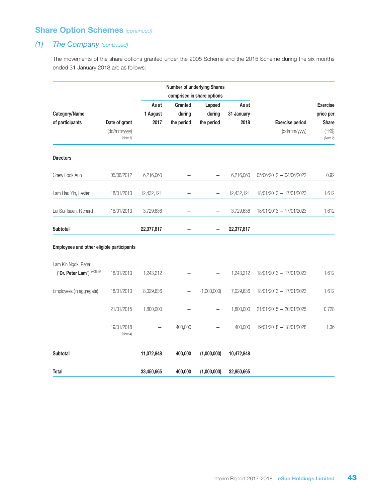### *(1) The Company (continued)*

The movements of the share options granted under the 2005 Scheme and the 2015 Scheme during the six months ended 31 January 2018 are as follows:

|                                                        |                                           |                           |                                 | <b>Number of underlying Shares</b><br>comprised in share options |                             |                                        |                                                                    |
|--------------------------------------------------------|-------------------------------------------|---------------------------|---------------------------------|------------------------------------------------------------------|-----------------------------|----------------------------------------|--------------------------------------------------------------------|
| Category/Name<br>of participants                       | Date of grant<br>(dd/mm/yyyy)<br>(Note 1) | As at<br>1 August<br>2017 | Granted<br>during<br>the period | Lapsed<br>during<br>the period                                   | As at<br>31 January<br>2018 | <b>Exercise period</b><br>(dd/mm/yyyy) | <b>Exercise</b><br>price per<br><b>Share</b><br>(HK\$)<br>(Note 2) |
| <b>Directors</b>                                       |                                           |                           |                                 |                                                                  |                             |                                        |                                                                    |
| Chew Fook Aun                                          | 05/06/2012                                | 6,216,060                 |                                 |                                                                  | 6,216,060                   | 05/06/2012 - 04/06/2022                | 0.92                                                               |
| Lam Hau Yin, Lester                                    | 18/01/2013                                | 12,432,121                |                                 | $\overline{\phantom{0}}$                                         | 12,432,121                  | 18/01/2013 - 17/01/2023                | 1.612                                                              |
| Lui Siu Tsuen, Richard                                 | 18/01/2013                                | 3,729,636                 |                                 |                                                                  | 3,729,636                   | 18/01/2013 - 17/01/2023                | 1.612                                                              |
| <b>Subtotal</b>                                        |                                           | 22,377,817                |                                 |                                                                  | 22,377,817                  |                                        |                                                                    |
| Employees and other eligible participants              |                                           |                           |                                 |                                                                  |                             |                                        |                                                                    |
| Lam Kin Ngok, Peter<br>("Dr. Peter Lam") $^{(Note 3)}$ | 18/01/2013                                | 1,243,212                 |                                 |                                                                  | 1,243,212                   | 18/01/2013 - 17/01/2023                | 1.612                                                              |
| Employees (in aggregate)                               | 18/01/2013                                | 8,029,636                 | —                               | (1,000,000)                                                      | 7,029,636                   | 18/01/2013 - 17/01/2023                | 1.612                                                              |
|                                                        | 21/01/2015                                | 1,800,000                 |                                 |                                                                  | 1,800,000                   | 21/01/2015 - 20/01/2025                | 0.728                                                              |
|                                                        | 19/01/2018<br>(Note 4)                    |                           | 400,000                         |                                                                  | 400,000                     | 19/01/2018 - 18/01/2028                | 1.36                                                               |
| <b>Subtotal</b>                                        |                                           | 11,072,848                | 400,000                         | (1,000,000)                                                      | 10,472,848                  |                                        |                                                                    |
| Total                                                  |                                           | 33,450,665                | 400,000                         | (1,000,000)                                                      | 32,850,665                  |                                        |                                                                    |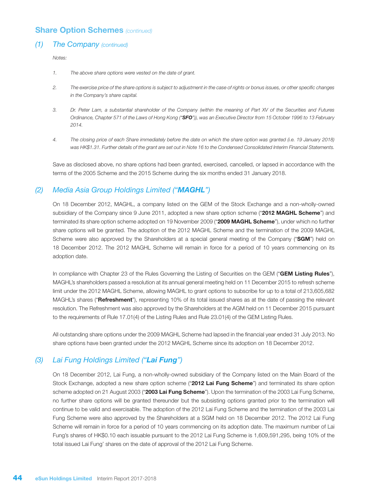#### *(1) The Company (continued)*

*Notes:*

- *1. The above share options were vested on the date of grant.*
- *2. The exercise price of the share options is subject to adjustment in the case of rights or bonus issues, or other specific changes in the Company's share capital.*
- *3. Dr. Peter Lam, a substantial shareholder of the Company (within the meaning of Part XV of the Securities and Futures Ordinance, Chapter 571 of the Laws of Hong Kong ("SFO")), was an Executive Director from 15 October 1996 to 13 February 2014.*
- *4. The closing price of each Share immediately before the date on which the share option was granted (i.e. 19 January 2018) was HK\$1.31. Further details of the grant are set out in Note 16 to the Condensed Consolidated Interim Financial Statements.*

Save as disclosed above, no share options had been granted, exercised, cancelled, or lapsed in accordance with the terms of the 2005 Scheme and the 2015 Scheme during the six months ended 31 January 2018.

#### *(2) Media Asia Group Holdings Limited ("MAGHL")*

On 18 December 2012, MAGHL, a company listed on the GEM of the Stock Exchange and a non-wholly-owned subsidiary of the Company since 9 June 2011, adopted a new share option scheme ("2012 MAGHL Scheme") and terminated its share option scheme adopted on 19 November 2009 ("2009 MAGHL Scheme"), under which no further share options will be granted. The adoption of the 2012 MAGHL Scheme and the termination of the 2009 MAGHL Scheme were also approved by the Shareholders at a special general meeting of the Company ("SGM") held on 18 December 2012. The 2012 MAGHL Scheme will remain in force for a period of 10 years commencing on its adoption date.

In compliance with Chapter 23 of the Rules Governing the Listing of Securities on the GEM ("GEM Listing Rules"), MAGHL's shareholders passed a resolution at its annual general meeting held on 11 December 2015 to refresh scheme limit under the 2012 MAGHL Scheme, allowing MAGHL to grant options to subscribe for up to a total of 213,605,682 MAGHL's shares ("Refreshment"), representing 10% of its total issued shares as at the date of passing the relevant resolution. The Refreshment was also approved by the Shareholders at the AGM held on 11 December 2015 pursuant to the requirements of Rule 17.01(4) of the Listing Rules and Rule 23.01(4) of the GEM Listing Rules.

All outstanding share options under the 2009 MAGHL Scheme had lapsed in the financial year ended 31 July 2013. No share options have been granted under the 2012 MAGHL Scheme since its adoption on 18 December 2012.

#### *(3) Lai Fung Holdings Limited ("Lai Fung")*

On 18 December 2012, Lai Fung, a non-wholly-owned subsidiary of the Company listed on the Main Board of the Stock Exchange, adopted a new share option scheme ("2012 Lai Fung Scheme") and terminated its share option scheme adopted on 21 August 2003 ("2003 Lai Fung Scheme"). Upon the termination of the 2003 Lai Fung Scheme, no further share options will be granted thereunder but the subsisting options granted prior to the termination will continue to be valid and exercisable. The adoption of the 2012 Lai Fung Scheme and the termination of the 2003 Lai Fung Scheme were also approved by the Shareholders at a SGM held on 18 December 2012. The 2012 Lai Fung Scheme will remain in force for a period of 10 years commencing on its adoption date. The maximum number of Lai Fung's shares of HK\$0.10 each issuable pursuant to the 2012 Lai Fung Scheme is 1,609,591,295, being 10% of the total issued Lai Fung' shares on the date of approval of the 2012 Lai Fung Scheme.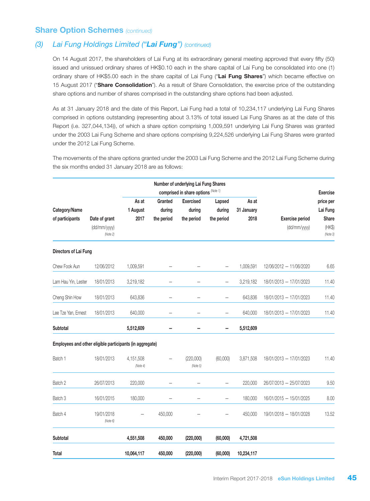### *(3) Lai Fung Holdings Limited ("Lai Fung") (continued)*

On 14 August 2017, the shareholders of Lai Fung at its extraordinary general meeting approved that every fifty (50) issued and unissued ordinary shares of HK\$0.10 each in the share capital of Lai Fung be consolidated into one (1) ordinary share of HK\$5.00 each in the share capital of Lai Fung ("Lai Fung Shares") which became effective on 15 August 2017 ("Share Consolidation"). As a result of Share Consolidation, the exercise price of the outstanding share options and number of shares comprised in the outstanding share options had been adjusted.

As at 31 January 2018 and the date of this Report, Lai Fung had a total of 10,234,117 underlying Lai Fung Shares comprised in options outstanding (representing about 3.13% of total issued Lai Fung Shares as at the date of this Report (i.e. 327,044,134)), of which a share option comprising 1,009,591 underlying Lai Fung Shares was granted under the 2003 Lai Fung Scheme and share options comprising 9,224,526 underlying Lai Fung Shares were granted under the 2012 Lai Fung Scheme.

The movements of the share options granted under the 2003 Lai Fung Scheme and the 2012 Lai Fung Scheme during the six months ended 31 January 2018 are as follows:

|                                                          |                          |                       |            | Number of underlying Lai Fung Shares<br>comprised in share options (Note 1) |                          |            |                         | <b>Exercise</b>    |
|----------------------------------------------------------|--------------------------|-----------------------|------------|-----------------------------------------------------------------------------|--------------------------|------------|-------------------------|--------------------|
|                                                          |                          | As at                 | Granted    | <b>Exercised</b>                                                            | Lapsed                   | As at      |                         | price per          |
| Category/Name                                            |                          | 1 August              | during     | during                                                                      | during                   | 31 January |                         | Lai Fung           |
| of participants                                          | Date of grant            | 2017                  | the period | the period                                                                  | the period               | 2018       | <b>Exercise period</b>  | <b>Share</b>       |
|                                                          | (dd/mm/yyyy)<br>(Note 2) |                       |            |                                                                             |                          |            | (dd/mm/yyyy)            | (HK\$)<br>(Note 3) |
| Directors of Lai Fung                                    |                          |                       |            |                                                                             |                          |            |                         |                    |
| Chew Fook Aun                                            | 12/06/2012               | 1,009,591             |            |                                                                             |                          | 1,009,591  | 12/06/2012 - 11/06/2020 | 6.65               |
| Lam Hau Yin, Lester                                      | 18/01/2013               | 3,219,182             |            |                                                                             | —                        | 3,219,182  | 18/01/2013 - 17/01/2023 | 11.40              |
| Cheng Shin How                                           | 18/01/2013               | 643,836               |            |                                                                             | $\overline{\phantom{0}}$ | 643,836    | 18/01/2013 - 17/01/2023 | 11.40              |
| Lee Tze Yan, Ernest                                      | 18/01/2013               | 640,000               |            | $\overline{\phantom{0}}$                                                    | $\overline{\phantom{0}}$ | 640,000    | 18/01/2013 - 17/01/2023 | 11.40              |
| <b>Subtotal</b>                                          |                          | 5,512,609             |            |                                                                             |                          | 5,512,609  |                         |                    |
| Employees and other eligible participants (in aggregate) |                          |                       |            |                                                                             |                          |            |                         |                    |
| Batch 1                                                  | 18/01/2013               | 4,151,508<br>(Note 4) |            | (220,000)<br>(Note 5)                                                       | (60,000)                 | 3,871,508  | 18/01/2013 - 17/01/2023 | 11.40              |
| Batch 2                                                  | 26/07/2013               | 220,000               |            |                                                                             | —                        | 220,000    | 26/07/2013 - 25/07/2023 | 9.50               |
| Batch 3                                                  | 16/01/2015               | 180,000               |            | $\overline{\phantom{0}}$                                                    | $\overline{\phantom{0}}$ | 180,000    | 16/01/2015 - 15/01/2025 | 8.00               |
| Batch 4                                                  | 19/01/2018<br>(Note 6)   |                       | 450,000    |                                                                             |                          | 450,000    | 19/01/2018 - 18/01/2028 | 13.52              |
| Subtotal                                                 |                          | 4,551,508             | 450,000    | (220,000)                                                                   | (60,000)                 | 4,721,508  |                         |                    |
| Total                                                    |                          | 10,064,117            | 450,000    | (220,000)                                                                   | (60,000)                 | 10,234,117 |                         |                    |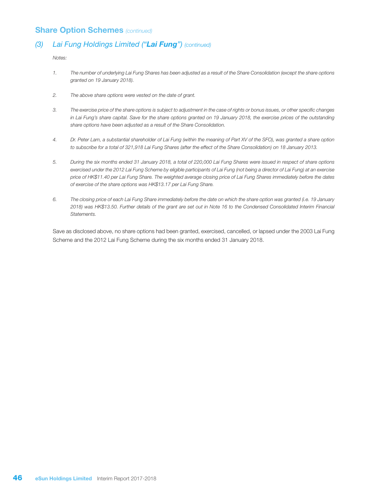### *(3) Lai Fung Holdings Limited ("Lai Fung") (continued)*

*Notes:*

- *1. The number of underlying Lai Fung Shares has been adjusted as a result of the Share Consolidation (except the share options granted on 19 January 2018).*
- *2. The above share options were vested on the date of grant.*
- *3. The exercise price of the share options is subject to adjustment in the case of rights or bonus issues, or other specific changes in Lai Fung's share capital. Save for the share options granted on 19 January 2018, the exercise prices of the outstanding share options have been adjusted as a result of the Share Consolidation.*
- *4. Dr. Peter Lam, a substantial shareholder of Lai Fung (within the meaning of Part XV of the SFO), was granted a share option to subscribe for a total of 321,918 Lai Fung Shares (after the effect of the Share Consolidation) on 18 January 2013.*
- *5. During the six months ended 31 January 2018, a total of 220,000 Lai Fung Shares were issued in respect of share options exercised under the 2012 Lai Fung Scheme by eligible participants of Lai Fung (not being a director of Lai Fung) at an exercise price of HK\$11.40 per Lai Fung Share. The weighted average closing price of Lai Fung Shares immediately before the dates of exercise of the share options was HK\$13.17 per Lai Fung Share.*
- *6. The closing price of each Lai Fung Share immediately before the date on which the share option was granted (i.e. 19 January 2018) was HK\$13.50. Further details of the grant are set out in Note 16 to the Condensed Consolidated Interim Financial Statements.*

Save as disclosed above, no share options had been granted, exercised, cancelled, or lapsed under the 2003 Lai Fung Scheme and the 2012 Lai Fung Scheme during the six months ended 31 January 2018.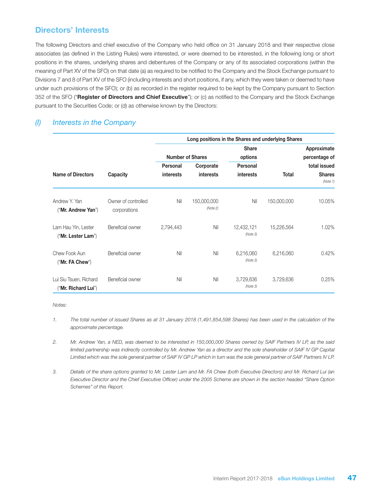### Directors' Interests

The following Directors and chief executive of the Company who held office on 31 January 2018 and their respective close associates (as defined in the Listing Rules) were interested, or were deemed to be interested, in the following long or short positions in the shares, underlying shares and debentures of the Company or any of its associated corporations (within the meaning of Part XV of the SFO) on that date (a) as required to be notified to the Company and the Stock Exchange pursuant to Divisions 7 and 8 of Part XV of the SFO (including interests and short positions, if any, which they were taken or deemed to have under such provisions of the SFO); or (b) as recorded in the register required to be kept by the Company pursuant to Section 352 of the SFO ("Register of Directors and Chief Executive"); or (c) as notified to the Company and the Stock Exchange pursuant to the Securities Code; or (d) as otherwise known by the Directors:

### *(I) Interests in the Company*

|                                               |                                     |                 | Long positions in the Shares and underlying Shares |                        |              |                           |
|-----------------------------------------------|-------------------------------------|-----------------|----------------------------------------------------|------------------------|--------------|---------------------------|
|                                               |                                     |                 |                                                    | <b>Share</b>           |              | Approximate               |
|                                               |                                     |                 | <b>Number of Shares</b>                            | options                |              | percentage of             |
|                                               |                                     | <b>Personal</b> | Corporate                                          | <b>Personal</b>        |              | total issued              |
| <b>Name of Directors</b>                      | Capacity                            | interests       | <b>interests</b>                                   | <b>interests</b>       | <b>Total</b> | <b>Shares</b><br>(Note 1) |
| Andrew Y. Yan<br>("Mr. Andrew Yan")           | Owner of controlled<br>corporations | Nil             | 150,000,000<br>(Note 2)                            | Nil                    | 150,000,000  | 10.05%                    |
| Lam Hau Yin, Lester<br>("Mr. Lester Lam")     | Beneficial owner                    | 2,794,443       | Nil                                                | 12,432,121<br>(Note 3) | 15,226,564   | 1.02%                     |
| Chew Fook Aun<br>("Mr. FA Chew")              | Beneficial owner                    | Nil             | Nil                                                | 6,216,060<br>(Note 3)  | 6,216,060    | 0.42%                     |
| Lui Siu Tsuen, Richard<br>("Mr. Richard Lui") | Beneficial owner                    | Nil             | Nil                                                | 3,729,636<br>(Note 3)  | 3,729,636    | 0.25%                     |

*Notes:*

- *1. The total number of issued Shares as at 31 January 2018 (1,491,854,598 Shares) has been used in the calculation of the approximate percentage.*
- *2. Mr. Andrew Yan, a NED, was deemed to be interested in 150,000,000 Shares owned by SAIF Partners IV LP, as the said limited partnership was indirectly controlled by Mr. Andrew Yan as a director and the sole shareholder of SAIF IV GP Capital Limited which was the sole general partner of SAIF IV GP LP which in turn was the sole general partner of SAIF Partners IV LP.*
- *3. Details of the share options granted to Mr. Lester Lam and Mr. FA Chew (both Executive Directors) and Mr. Richard Lui (an Executive Director and the Chief Executive Officer) under the 2005 Scheme are shown in the section headed "Share Option Schemes" of this Report.*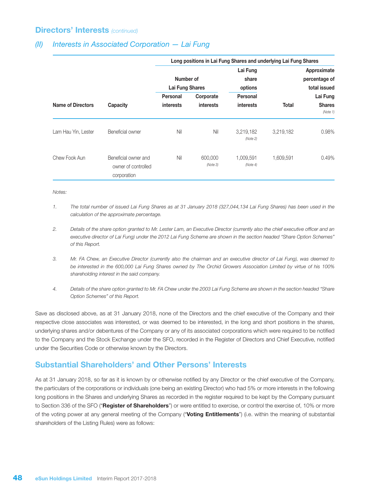### Directors' Interests *(continued)*

### *(II) Interests in Associated Corporation — Lai Fung*

|                          |                                                            | Long positions in Lai Fung Shares and underlying Lai Fung Shares |                     |                              |                           |                                              |  |  |
|--------------------------|------------------------------------------------------------|------------------------------------------------------------------|---------------------|------------------------------|---------------------------|----------------------------------------------|--|--|
| <b>Name of Directors</b> |                                                            | Number of<br>Lai Fung Shares                                     |                     | Lai Fung<br>share<br>options |                           | Approximate<br>percentage of<br>total issued |  |  |
|                          |                                                            | Personal                                                         | Corporate           | Personal                     |                           | Lai Fung                                     |  |  |
|                          | Capacity                                                   | <b>interests</b><br>interests                                    | <b>interests</b>    | <b>Total</b>                 | <b>Shares</b><br>(Note 1) |                                              |  |  |
| Lam Hau Yin, Lester      | Beneficial owner                                           | Nil                                                              | Nil                 | 3,219,182<br>(Note 2)        | 3,219,182                 | 0.98%                                        |  |  |
| Chew Fook Aun            | Beneficial owner and<br>owner of controlled<br>corporation | Nil                                                              | 600,000<br>(Note 3) | 1,009,591<br>(Note 4)        | 1,609,591                 | 0.49%                                        |  |  |

*Notes:*

- *1. The total number of issued Lai Fung Shares as at 31 January 2018 (327,044,134 Lai Fung Shares) has been used in the calculation of the approximate percentage.*
- *2. Details of the share option granted to Mr. Lester Lam, an Executive Director (currently also the chief executive officer and an executive director of Lai Fung) under the 2012 Lai Fung Scheme are shown in the section headed "Share Option Schemes" of this Report.*
- *3. Mr. FA Chew, an Executive Director (currently also the chairman and an executive director of Lai Fung), was deemed to be interested in the 600,000 Lai Fung Shares owned by The Orchid Growers Association Limited by virtue of his 100% shareholding interest in the said company.*
- *4. Details of the share option granted to Mr. FA Chew under the 2003 Lai Fung Scheme are shown in the section headed "Share Option Schemes" of this Report.*

Save as disclosed above, as at 31 January 2018, none of the Directors and the chief executive of the Company and their respective close associates was interested, or was deemed to be interested, in the long and short positions in the shares, underlying shares and/or debentures of the Company or any of its associated corporations which were required to be notified to the Company and the Stock Exchange under the SFO, recorded in the Register of Directors and Chief Executive, notified under the Securities Code or otherwise known by the Directors.

### Substantial Shareholders' and Other Persons' Interests

As at 31 January 2018, so far as it is known by or otherwise notified by any Director or the chief executive of the Company, the particulars of the corporations or individuals (one being an existing Director) who had 5% or more interests in the following long positions in the Shares and underlying Shares as recorded in the register required to be kept by the Company pursuant to Section 336 of the SFO ("Register of Shareholders") or were entitled to exercise, or control the exercise of, 10% or more of the voting power at any general meeting of the Company ("Voting Entitlements") (i.e. within the meaning of substantial shareholders of the Listing Rules) were as follows: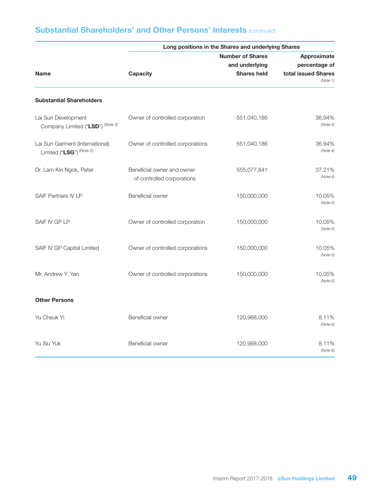|                                                             | Long positions in the Shares and underlying Shares       |                         |                                 |  |  |  |  |
|-------------------------------------------------------------|----------------------------------------------------------|-------------------------|---------------------------------|--|--|--|--|
|                                                             |                                                          | <b>Number of Shares</b> | Approximate                     |  |  |  |  |
|                                                             |                                                          | and underlying          | percentage of                   |  |  |  |  |
| <b>Name</b>                                                 | <b>Capacity</b>                                          | <b>Shares held</b>      | total issued Shares<br>(Note 1) |  |  |  |  |
| <b>Substantial Shareholders</b>                             |                                                          |                         |                                 |  |  |  |  |
| Lai Sun Development<br>Company Limited ("LSD") (Note 2)     | Owner of controlled corporation                          | 551,040,186             | 36.94%<br>(Note 4)              |  |  |  |  |
| Lai Sun Garment (International)<br>Limited ("LSG") (Note 3) | Owner of controlled corporations                         | 551,040,186             | 36.94%<br>(Note 4)              |  |  |  |  |
| Dr. Lam Kin Ngok, Peter                                     | Beneficial owner and owner<br>of controlled corporations | 555,077,841             | 37.21%<br>(Note 4)              |  |  |  |  |
| SAIF Partners IV LP                                         | Beneficial owner                                         | 150,000,000             | 10.05%<br>(Note 5)              |  |  |  |  |
| SAIF IV GP LP                                               | Owner of controlled corporation                          | 150,000,000             | 10.05%<br>(Note 5)              |  |  |  |  |
| SAIF IV GP Capital Limited                                  | Owner of controlled corporations                         | 150,000,000             | 10.05%<br>(Note 5)              |  |  |  |  |
| Mr. Andrew Y. Yan                                           | Owner of controlled corporations                         | 150,000,000             | 10.05%<br>(Note 5)              |  |  |  |  |
| <b>Other Persons</b>                                        |                                                          |                         |                                 |  |  |  |  |
| Yu Cheuk Yi                                                 | Beneficial owner                                         | 120,988,000             | 8.11%<br>(Note 6)               |  |  |  |  |
| Yu Siu Yuk                                                  | Beneficial owner                                         | 120,988,000             | 8.11%<br>(Note 6)               |  |  |  |  |

# Substantial Shareholders' and Other Persons' Interests *(continued)*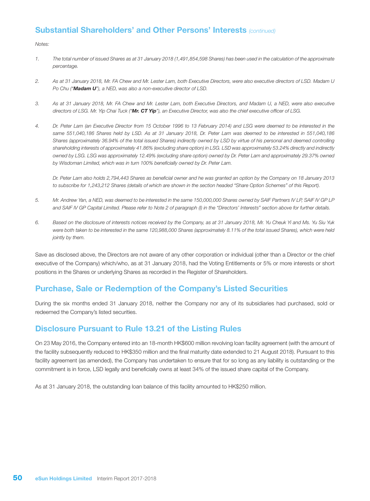### Substantial Shareholders' and Other Persons' Interests *(continued)*

*Notes:*

- *1. The total number of issued Shares as at 31 January 2018 (1,491,854,598 Shares) has been used in the calculation of the approximate percentage.*
- *2. As at 31 January 2018, Mr. FA Chew and Mr. Lester Lam, both Executive Directors, were also executive directors of LSD. Madam U Po Chu ("Madam U"), a NED, was also a non-executive director of LSD.*
- *3. As at 31 January 2018, Mr. FA Chew and Mr. Lester Lam, both Executive Directors, and Madam U, a NED, were also executive directors of LSG. Mr. Yip Chai Tuck ("Mr. CT Yip"), an Executive Director, was also the chief executive officer of LSG.*
- *4. Dr. Peter Lam (an Executive Director from 15 October 1996 to 13 February 2014) and LSG were deemed to be interested in the same 551,040,186 Shares held by LSD. As at 31 January 2018, Dr. Peter Lam was deemed to be interested in 551,040,186 Shares (approximately 36.94% of the total issued Shares) indirectly owned by LSD by virtue of his personal and deemed controlling shareholding interests of approximately 41.86% (excluding share option) in LSG. LSD was approximately 53.24% directly and indirectly owned by LSG. LSG was approximately 12.49% (excluding share option) owned by Dr. Peter Lam and approximately 29.37% owned by Wisdoman Limited, which was in turn 100% beneficially owned by Dr. Peter Lam.*

*Dr. Peter Lam also holds 2,794,443 Shares as beneficial owner and he was granted an option by the Company on 18 January 2013 to subscribe for 1,243,212 Shares (details of which are shown in the section headed "Share Option Schemes" of this Report).*

- *5. Mr. Andrew Yan, a NED, was deemed to be interested in the same 150,000,000 Shares owned by SAIF Partners IV LP, SAIF IV GP LP and SAIF IV GP Capital Limited. Please refer to Note 2 of paragraph (I) in the "Directors' Interests" section above for further details.*
- *6. Based on the disclosure of interests notices received by the Company, as at 31 January 2018, Mr. Yu Cheuk Yi and Ms. Yu Siu Yuk were both taken to be interested in the same 120,988,000 Shares (approximately 8.11% of the total issued Shares), which were held jointly by them.*

Save as disclosed above, the Directors are not aware of any other corporation or individual (other than a Director or the chief executive of the Company) which/who, as at 31 January 2018, had the Voting Entitlements or 5% or more interests or short positions in the Shares or underlying Shares as recorded in the Register of Shareholders.

### Purchase, Sale or Redemption of the Company's Listed Securities

During the six months ended 31 January 2018, neither the Company nor any of its subsidiaries had purchased, sold or redeemed the Company's listed securities.

### Disclosure Pursuant to Rule 13.21 of the Listing Rules

On 23 May 2016, the Company entered into an 18-month HK\$600 million revolving loan facility agreement (with the amount of the facility subsequently reduced to HK\$350 million and the final maturity date extended to 21 August 2018). Pursuant to this facility agreement (as amended), the Company has undertaken to ensure that for so long as any liability is outstanding or the commitment is in force, LSD legally and beneficially owns at least 34% of the issued share capital of the Company.

As at 31 January 2018, the outstanding loan balance of this facility amounted to HK\$250 million.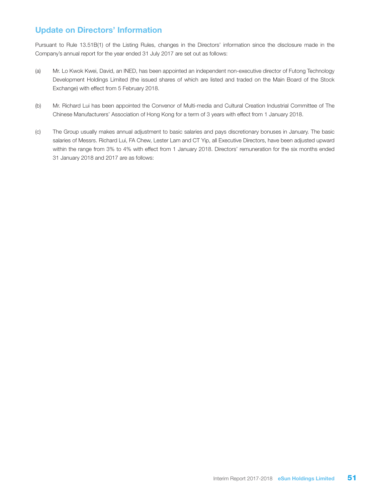# Update on Directors' Information

Pursuant to Rule 13.51B(1) of the Listing Rules, changes in the Directors' information since the disclosure made in the Company's annual report for the year ended 31 July 2017 are set out as follows:

- (a) Mr. Lo Kwok Kwei, David, an INED, has been appointed an independent non-executive director of Futong Technology Development Holdings Limited (the issued shares of which are listed and traded on the Main Board of the Stock Exchange) with effect from 5 February 2018.
- (b) Mr. Richard Lui has been appointed the Convenor of Multi-media and Cultural Creation Industrial Committee of The Chinese Manufacturers' Association of Hong Kong for a term of 3 years with effect from 1 January 2018.
- (c) The Group usually makes annual adjustment to basic salaries and pays discretionary bonuses in January. The basic salaries of Messrs. Richard Lui, FA Chew, Lester Lam and CT Yip, all Executive Directors, have been adjusted upward within the range from 3% to 4% with effect from 1 January 2018. Directors' remuneration for the six months ended 31 January 2018 and 2017 are as follows: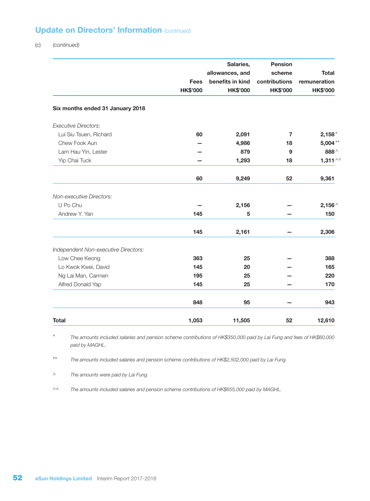# Update on Directors' Information *(continued)*

(c) *(continued)*

|                                      |                 | Salaries,        | <b>Pension</b>  |                    |
|--------------------------------------|-----------------|------------------|-----------------|--------------------|
|                                      |                 | allowances, and  | scheme          | <b>Total</b>       |
|                                      | <b>Fees</b>     | benefits in kind | contributions   | remuneration       |
|                                      | <b>HK\$'000</b> | <b>HK\$'000</b>  | <b>HK\$'000</b> | <b>HK\$'000</b>    |
| Six months ended 31 January 2018     |                 |                  |                 |                    |
| <b>Executive Directors:</b>          |                 |                  |                 |                    |
| Lui Siu Tsuen, Richard               | 60              | 2,091            | 7               | $2,158*$           |
| Chew Fook Aun                        |                 | 4,986            | 18              | $5,004***$         |
| Lam Hau Yin, Lester                  |                 | 879              | 9               | 888 $\wedge$       |
| Yip Chai Tuck                        |                 | 1,293            | 18              | 1,311 $\land\land$ |
|                                      | 60              | 9,249            | 52              | 9,361              |
| Non-executive Directors:             |                 |                  |                 |                    |
| U Po Chu                             |                 | 2,156            |                 | $2,156^{\wedge}$   |
| Andrew Y. Yan                        | 145             | 5                |                 | 150                |
|                                      | 145             | 2,161            |                 | 2,306              |
| Independent Non-executive Directors: |                 |                  |                 |                    |
| Low Chee Keong                       | 363             | 25               |                 | 388                |
| Lo Kwok Kwei, David                  | 145             | 20               |                 | 165                |
| Ng Lai Man, Carmen                   | 195             | 25               |                 | 220                |
| Alfred Donald Yap                    | 145             | 25               |                 | 170                |
|                                      | 848             | 95               |                 | 943                |
| <b>Total</b>                         | 1,053           | 11,505           | 52              | 12,610             |

\* *The amounts included salaries and pension scheme contributions of HK\$350,000 paid by Lai Fung and fees of HK\$60,000 paid by MAGHL.*

\*\* *The amounts included salaries and pension scheme contributions of HK\$2,502,000 paid by Lai Fung.*

^ *The amounts were paid by Lai Fung.*

^^ *The amounts included salaries and pension scheme contributions of HK\$655,000 paid by MAGHL.*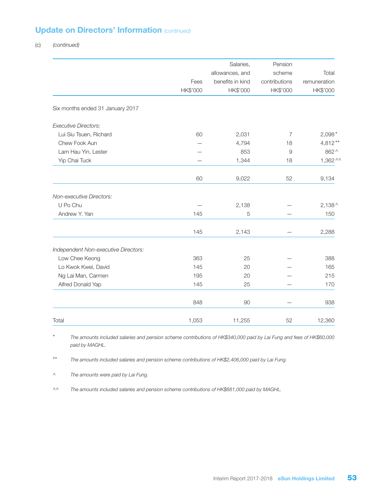# Update on Directors' Information *(continued)*

(c) *(continued)*

|                                      |          | Salaries,        | Pension        |                  |
|--------------------------------------|----------|------------------|----------------|------------------|
|                                      |          | allowances, and  | scheme         | Total            |
|                                      | Fees     | benefits in kind | contributions  | remuneration     |
|                                      | HK\$'000 | HK\$'000         | HK\$'000       | HK\$'000         |
| Six months ended 31 January 2017     |          |                  |                |                  |
| <b>Executive Directors:</b>          |          |                  |                |                  |
| Lui Siu Tsuen, Richard               | 60       | 2,031            | $\overline{7}$ | $2,098*$         |
| Chew Fook Aun                        |          | 4,794            | 18             | $4,812**$        |
| Lam Hau Yin, Lester                  |          | 853              | $\overline{9}$ | 862 ^            |
| Yip Chai Tuck                        |          | 1,344            | 18             | $1,362$ ^^       |
|                                      | 60       | 9,022            | 52             | 9,134            |
| Non-executive Directors:             |          |                  |                |                  |
| U Po Chu                             |          | 2,138            |                | $2,138^{\wedge}$ |
| Andrew Y. Yan                        | 145      | 5                |                | 150              |
|                                      | 145      | 2,143            |                | 2,288            |
| Independent Non-executive Directors: |          |                  |                |                  |
| Low Chee Keong                       | 363      | 25               |                | 388              |
| Lo Kwok Kwei, David                  | 145      | 20               |                | 165              |
| Ng Lai Man, Carmen                   | 195      | 20               |                | 215              |
| Alfred Donald Yap                    | 145      | 25               |                | 170              |
|                                      | 848      | 90               |                | 938              |
| Total                                | 1,053    | 11,255           | 52             | 12,360           |

\* *The amounts included salaries and pension scheme contributions of HK\$340,000 paid by Lai Fung and fees of HK\$60,000 paid by MAGHL.*

\*\* *The amounts included salaries and pension scheme contributions of HK\$2,406,000 paid by Lai Fung.*

^ *The amounts were paid by Lai Fung.*

^^ *The amounts included salaries and pension scheme contributions of HK\$681,000 paid by MAGHL.*